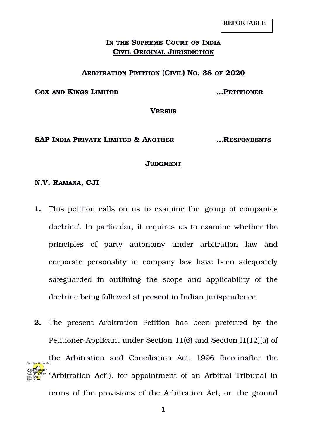## **IN THE SUPREME COURT OF INDIA CIVIL ORIGINAL JURISDICTION**

#### **ARBITRATION PETITION (CIVIL) NO. 38 OF 2020**

**COX AND KINGS LIMITED …PETITIONER**

**VERSUS**

#### **SAP INDIA PRIVATE LIMITED & ANOTHER …RESPONDENTS**

#### **JUDGMENT**

#### **N.V. RAMANA, CJI**

- **1.** This petition calls on us to examine the 'group of companies doctrine'. In particular, it requires us to examine whether the principles of party autonomy under arbitration law and corporate personality in company law have been adequately safeguarded in outlining the scope and applicability of the doctrine being followed at present in Indian jurisprudence.
- **2.** The present Arbitration Petition has been preferred by the Petitioner-Applicant under Section 11(6) and Section 11(12)(a) of the Arbitration and Conciliation Act, 1996 (hereinafter the "Arbitration Act"), for appointment of an Arbitral Tribunal in terms of the provisions of the Arbitration Act, on the ground Digitally signed by Rajni Mukhi Date: 2022.05.07 10:56:49 IST Reason: Signature Not Verified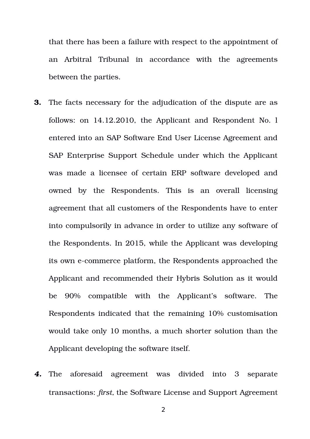that there has been a failure with respect to the appointment of an Arbitral Tribunal in accordance with the agreements between the parties.

- **3.** The facts necessary for the adjudication of the dispute are as follows: on 14.12.2010, the Applicant and Respondent No. l entered into an SAP Software End User License Agreement and SAP Enterprise Support Schedule under which the Applicant was made a licensee of certain ERP software developed and owned by the Respondents. This is an overall licensing agreement that all customers of the Respondents have to enter into compulsorily in advance in order to utilize any software of the Respondents. In 2015, while the Applicant was developing its own ecommerce platform, the Respondents approached the Applicant and recommended their Hybris Solution as it would be 90% compatible with the Applicant's software. The Respondents indicated that the remaining 10% customisation would take only 10 months, a much shorter solution than the Applicant developing the software itself.
- 4. The aforesaid agreement was divided into 3 separate transactions: *first,* the Software License and Support Agreement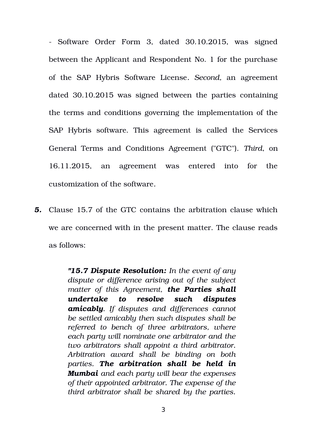- Software Order Form 3, dated 30.10.2015, was signed between the Applicant and Respondent No. 1 for the purchase of the SAP Hybris Software License*. Second,* an agreement dated 30.10.2015 was signed between the parties containing the terms and conditions governing the implementation of the SAP Hybris software. This agreement is called the Services General Terms and Conditions Agreement ("GTC"). *Third*, on 16.11.2015, an agreement was entered into for the customization of the software*.*

*5.* Clause 15.7 of the GTC contains the arbitration clause which we are concerned with in the present matter. The clause reads as follows:

> *"15.7 Dispute Resolution: In the event of any dispute or difference arising out of the subject matter of this Agreement, the Parties shall undertake to resolve such disputes amicably. If disputes and differences cannot be settled amicably then such disputes shall be referred to bench of three arbitrators, where each party will nominate one arbitrator and the two arbitrators shall appoint a third arbitrator. Arbitration award shall be binding on both parties. The arbitration shall be held in Mumbai and each party will bear the expenses of their appointed arbitrator. The expense of the third arbitrator shall be shared by the parties.*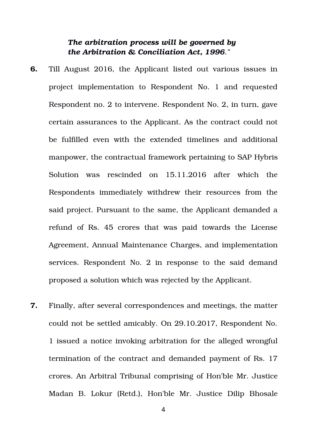# *The arbitration process will be governed by the Arbitration & Conciliation Act, 1996."*

- **6.** Till August 2016, the Applicant listed out various issues in project implementation to Respondent No. 1 and requested Respondent no. 2 to intervene. Respondent No. 2, in turn, gave certain assurances to the Applicant. As the contract could not be fulfilled even with the extended timelines and additional manpower, the contractual framework pertaining to SAP Hybris Solution was rescinded on 15.11.2016 after which the Respondents immediately withdrew their resources from the said project. Pursuant to the same, the Applicant demanded a refund of Rs. 45 crores that was paid towards the License Agreement, Annual Maintenance Charges, and implementation services. Respondent No. 2 in response to the said demand proposed a solution which was rejected by the Applicant.
- **7.** Finally, after several correspondences and meetings, the matter could not be settled amicably. On 29.10.2017, Respondent No. 1 issued a notice invoking arbitration for the alleged wrongful termination of the contract and demanded payment of Rs. 17 crores. An Arbitral Tribunal comprising of Hon'ble Mr. Justice Madan B. Lokur (Retd.), Hon'ble Mr. Justice Dilip Bhosale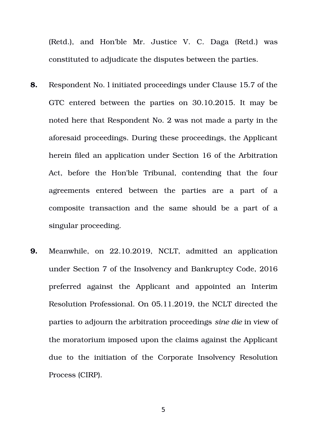(Retd.), and Hon'ble Mr. Justice V. C. Daga (Retd.) was constituted to adjudicate the disputes between the parties.

- **8.** Respondent No. l initiated proceedings under Clause 15.7 of the GTC entered between the parties on 30.10.2015. It may be noted here that Respondent No. 2 was not made a party in the aforesaid proceedings. During these proceedings, the Applicant herein filed an application under Section 16 of the Arbitration Act, before the Hon'ble Tribunal, contending that the four agreements entered between the parties are a part of a composite transaction and the same should be a part of a singular proceeding.
- **9.** Meanwhile, on 22.10.2019, NCLT, admitted an application under Section 7 of the Insolvency and Bankruptcy Code, 2016 preferred against the Applicant and appointed an Interim Resolution Professional. On 05.11.2019, the NCLT directed the parties to adjourn the arbitration proceedings *sine die* in view of the moratorium imposed upon the claims against the Applicant due to the initiation of the Corporate Insolvency Resolution Process (CIRP).

5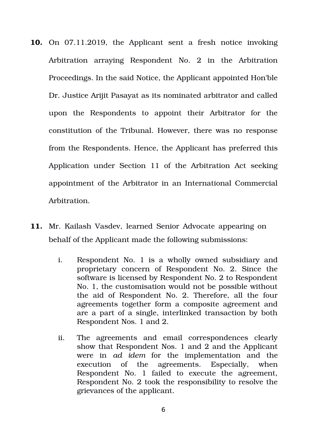- **10.** On 07.11.2019, the Applicant sent a fresh notice invoking Arbitration arraying Respondent No. 2 in the Arbitration Proceedings. In the said Notice, the Applicant appointed Hon'ble Dr. Justice Arijit Pasayat as its nominated arbitrator and called upon the Respondents to appoint their Arbitrator for the constitution of the Tribunal. However, there was no response from the Respondents. Hence, the Applicant has preferred this Application under Section 11 of the Arbitration Act seeking appointment of the Arbitrator in an International Commercial Arbitration.
- **11.** Mr. Kailash Vasdev, learned Senior Advocate appearing on behalf of the Applicant made the following submissions:
	- i. Respondent No. 1 is a wholly owned subsidiary and proprietary concern of Respondent No. 2. Since the software is licensed by Respondent No. 2 to Respondent No. 1, the customisation would not be possible without the aid of Respondent No. 2. Therefore, all the four agreements together form a composite agreement and are a part of a single, interlinked transaction by both Respondent Nos. 1 and 2.
	- ii. The agreements and email correspondences clearly show that Respondent Nos. 1 and 2 and the Applicant were in *ad idem* for the implementation and the execution of the agreements. Especially, when Respondent No. 1 failed to execute the agreement, Respondent No. 2 took the responsibility to resolve the grievances of the applicant.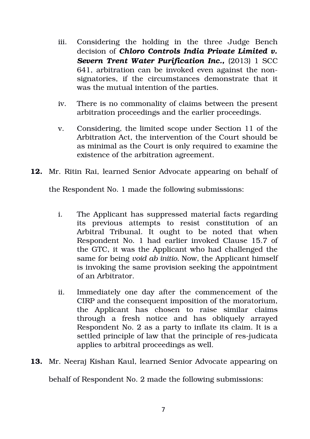- iii. Considering the holding in the three Judge Bench decision of *Chloro Controls India Private Limited v.* **Severn Trent Water Purification Inc., (2013) 1 SCC** 641, arbitration can be invoked even against the nonsignatories, if the circumstances demonstrate that it was the mutual intention of the parties.
- iv. There is no commonality of claims between the present arbitration proceedings and the earlier proceedings.
- v. Considering, the limited scope under Section 11 of the Arbitration Act, the intervention of the Court should be as minimal as the Court is only required to examine the existence of the arbitration agreement.
- **12.** Mr. Ritin Rai, learned Senior Advocate appearing on behalf of

the Respondent No. 1 made the following submissions:

- i. The Applicant has suppressed material facts regarding its previous attempts to resist constitution of an Arbitral Tribunal. It ought to be noted that when Respondent No. 1 had earlier invoked Clause 15.7 of the GTC, it was the Applicant who had challenged the same for being *void ab initio.* Now, the Applicant himself is invoking the same provision seeking the appointment of an Arbitrator.
- ii. Immediately one day after the commencement of the CIRP and the consequent imposition of the moratorium, the Applicant has chosen to raise similar claims through a fresh notice and has obliquely arrayed Respondent No. 2 as a party to inflate its claim. It is a settled principle of law that the principle of res-judicata applies to arbitral proceedings as well.
- **13.** Mr. Neeraj Kishan Kaul, learned Senior Advocate appearing on

behalf of Respondent No. 2 made the following submissions: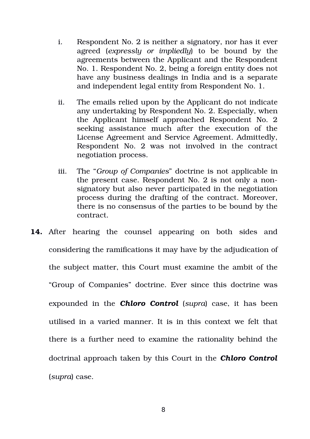- i. Respondent No. 2 is neither a signatory, nor has it ever agreed (*expressly or impliedly*) to be bound by the agreements between the Applicant and the Respondent No. 1. Respondent No. 2, being a foreign entity does not have any business dealings in India and is a separate and independent legal entity from Respondent No. 1.
- ii. The emails relied upon by the Applicant do not indicate any undertaking by Respondent No. 2. Especially, when the Applicant himself approached Respondent No. 2 seeking assistance much after the execution of the License Agreement and Service Agreement. Admittedly, Respondent No. 2 was not involved in the contract negotiation process.
- iii. The "*Group of Companies*" doctrine is not applicable in the present case. Respondent No. 2 is not only a nonsignatory but also never participated in the negotiation process during the drafting of the contract. Moreover, there is no consensus of the parties to be bound by the contract.
- 14. After hearing the counsel appearing on both sides and considering the ramifications it may have by the adjudication of the subject matter, this Court must examine the ambit of the "Group of Companies" doctrine. Ever since this doctrine was expounded in the *Chloro Control* (*supra*) case, it has been utilised in a varied manner. It is in this context we felt that there is a further need to examine the rationality behind the doctrinal approach taken by this Court in the *Chloro Control* (*supra*) case.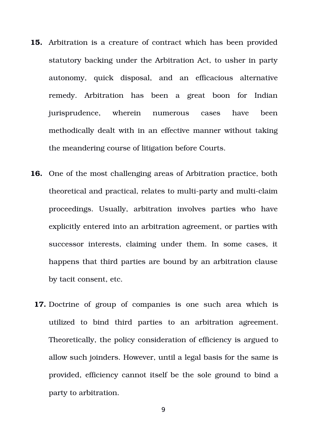- **15.** Arbitration is a creature of contract which has been provided statutory backing under the Arbitration Act, to usher in party autonomy, quick disposal, and an efficacious alternative remedy. Arbitration has been a great boon for Indian jurisprudence, wherein numerous cases have been methodically dealt with in an effective manner without taking the meandering course of litigation before Courts.
- **16.** One of the most challenging areas of Arbitration practice, both theoretical and practical, relates to multi-party and multi-claim proceedings. Usually, arbitration involves parties who have explicitly entered into an arbitration agreement, or parties with successor interests, claiming under them. In some cases, it happens that third parties are bound by an arbitration clause by tacit consent, etc.
	- **17.** Doctrine of group of companies is one such area which is utilized to bind third parties to an arbitration agreement. Theoretically, the policy consideration of efficiency is argued to allow such joinders. However, until a legal basis for the same is provided, efficiency cannot itself be the sole ground to bind a party to arbitration.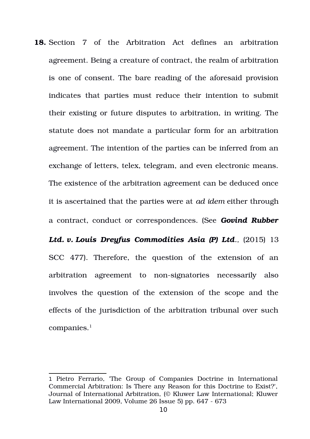**18.** Section 7 of the Arbitration Act defines an arbitration agreement. Being a creature of contract, the realm of arbitration is one of consent. The bare reading of the aforesaid provision indicates that parties must reduce their intention to submit their existing or future disputes to arbitration, in writing. The statute does not mandate a particular form for an arbitration agreement. The intention of the parties can be inferred from an exchange of letters, telex, telegram, and even electronic means. The existence of the arbitration agreement can be deduced once it is ascertained that the parties were at *ad idem* either through a contract, conduct or correspondences. (See *Govind Rubber Ltd. v. Louis Dreyfus Commodities Asia (P) Ltd.,* (2015) 13 SCC 477). Therefore, the question of the extension of an arbitration agreement to non-signatories necessarily also involves the question of the extension of the scope and the

effects of the jurisdiction of the arbitration tribunal over such  $companies.<sup>1</sup>$  $companies.<sup>1</sup>$  $companies.<sup>1</sup>$ 

<span id="page-9-0"></span><sup>1</sup> Pietro Ferrario, The Group of Companies Doctrine in International Commercial Arbitration: Is There any Reason for this Doctrine to Exist?', Journal of International Arbitration, (© Kluwer Law International; Kluwer Law International 2009, Volume  $26$  Issue  $5$ ) pp.  $647 - 673$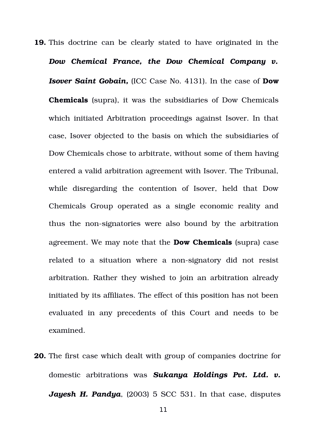**19.** This doctrine can be clearly stated to have originated in the *Dow Chemical France, the Dow Chemical Company v. Isover Saint Gobain,* (ICC Case No. 4131). In the case of **Dow Chemicals** (supra), it was the subsidiaries of Dow Chemicals which initiated Arbitration proceedings against Isover. In that case, Isover objected to the basis on which the subsidiaries of Dow Chemicals chose to arbitrate, without some of them having entered a valid arbitration agreement with Isover. The Tribunal, while disregarding the contention of Isover, held that Dow Chemicals Group operated as a single economic reality and thus the non-signatories were also bound by the arbitration agreement. We may note that the **Dow Chemicals** (supra) case related to a situation where a non-signatory did not resist arbitration. Rather they wished to join an arbitration already initiated by its affiliates. The effect of this position has not been evaluated in any precedents of this Court and needs to be examined.

**20.** The first case which dealt with group of companies doctrine for domestic arbitrations was *Sukanya Holdings Pvt. Ltd. v.* Jayesh H. Pandya, (2003) 5 SCC 531. In that case, disputes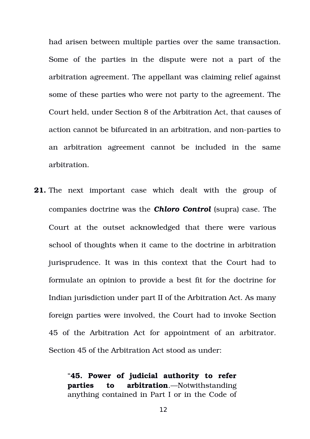had arisen between multiple parties over the same transaction. Some of the parties in the dispute were not a part of the arbitration agreement. The appellant was claiming relief against some of these parties who were not party to the agreement. The Court held, under Section 8 of the Arbitration Act, that causes of action cannot be bifurcated in an arbitration, and non-parties to an arbitration agreement cannot be included in the same arbitration.

**21.** The next important case which dealt with the group of companies doctrine was the *Chloro Control* (supra) case. The Court at the outset acknowledged that there were various school of thoughts when it came to the doctrine in arbitration jurisprudence. It was in this context that the Court had to formulate an opinion to provide a best fit for the doctrine for Indian jurisdiction under part II of the Arbitration Act. As many foreign parties were involved, the Court had to invoke Section 45 of the Arbitration Act for appointment of an arbitrator. Section 45 of the Arbitration Act stood as under:

> "**45. Power of judicial authority to refer parties to arbitration**.—Notwithstanding anything contained in Part I or in the Code of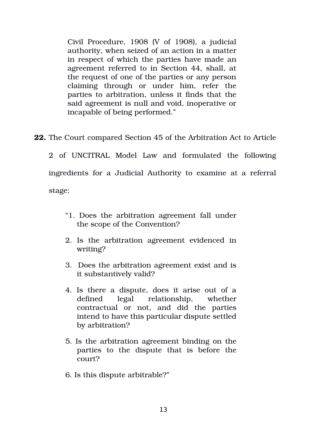Civil Procedure, 1908 (V of 1908), a judicial authority, when seized of an action in a matter in respect of which the parties have made an agreement referred to in Section 44, shall, at the request of one of the parties or any person claiming through or under him, refer the parties to arbitration, unless it finds that the said agreement is null and void, inoperative or incapable of being performed."

**22.** The Court compared Section 45 of the Arbitration Act to Article

2 of UNCITRAL Model Law and formulated the following ingredients for a Judicial Authority to examine at a referral stage:

- "1. Does the arbitration agreement fall under the scope of the Convention?
- 2. Is the arbitration agreement evidenced in writing?
- 3. Does the arbitration agreement exist and is it substantively valid?
- 4. Is there a dispute, does it arise out of a defined legal relationship, whether contractual or not, and did the parties intend to have this particular dispute settled by arbitration?
- 5. Is the arbitration agreement binding on the parties to the dispute that is before the court?
- 6. Is this dispute arbitrable?"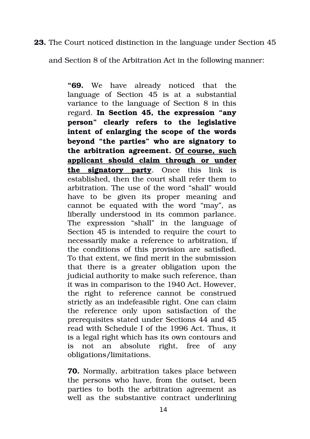# **23.** The Court noticed distinction in the language under Section 45

and Section 8 of the Arbitration Act in the following manner:

**"69.** We have already noticed that the language of Section 45 is at a substantial variance to the language of Section 8 in this regard. **In Section 45, the expression "any person" clearly refers to the legislative intent of enlarging the scope of the words beyond "the parties" who are signatory to the arbitration agreement. Of course, such applicant should claim through or under the signatory party.** Once this link is established, then the court shall refer them to arbitration. The use of the word "shall" would have to be given its proper meaning and cannot be equated with the word "may", as liberally understood in its common parlance. The expression "shall" in the language of Section 45 is intended to require the court to necessarily make a reference to arbitration, if the conditions of this provision are satisfied. To that extent, we find merit in the submission that there is a greater obligation upon the judicial authority to make such reference, than it was in comparison to the 1940 Act. However, the right to reference cannot be construed strictly as an indefeasible right. One can claim the reference only upon satisfaction of the prerequisites stated under Sections 44 and 45 read with Schedule I of the 1996 Act. Thus, it is a legal right which has its own contours and is not an absolute right, free of any obligations/limitations.

**70.** Normally, arbitration takes place between the persons who have, from the outset, been parties to both the arbitration agreement as well as the substantive contract underlining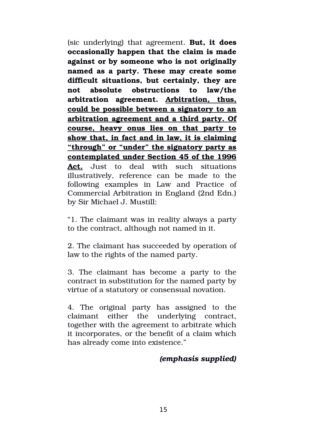(sic underlying) that agreement. **But, it does occasionally happen that the claim is made against or by someone who is not originally named as a party. These may create some difficult situations, but certainly, they are not absolute obstructions to law/the arbitration agreement. Arbitration, thus, could be possible between a signatory to an arbitration agreement and a third party. Of course, heavy onus lies on that party to show that, in fact and in law, it is claiming "through" or "under" the signatory party as contemplated under Section 45 of the 1996** Act. Just to deal with such situations illustratively, reference can be made to the following examples in Law and Practice of Commercial Arbitration in England (2nd Edn.) by Sir Michael J. Mustill:

"1. The claimant was in reality always a party to the contract, although not named in it.

2. The claimant has succeeded by operation of law to the rights of the named party.

3. The claimant has become a party to the contract in substitution for the named party by virtue of a statutory or consensual novation.

4. The original party has assigned to the claimant either the underlying contract, together with the agreement to arbitrate which it incorporates, or the benefit of a claim which has already come into existence."

# *(emphasis supplied)*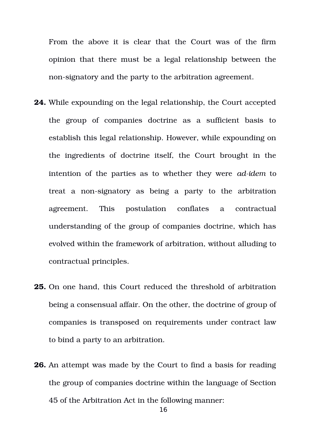From the above it is clear that the Court was of the firm opinion that there must be a legal relationship between the non-signatory and the party to the arbitration agreement.

- **24.** While expounding on the legal relationship, the Court accepted the group of companies doctrine as a sufficient basis to establish this legal relationship. However, while expounding on the ingredients of doctrine itself, the Court brought in the intention of the parties as to whether they were *adidem* to treat a non-signatory as being a party to the arbitration agreement. This postulation conflates a contractual understanding of the group of companies doctrine, which has evolved within the framework of arbitration, without alluding to contractual principles.
- **25.** On one hand, this Court reduced the threshold of arbitration being a consensual affair. On the other, the doctrine of group of companies is transposed on requirements under contract law to bind a party to an arbitration.
- **26.** An attempt was made by the Court to find a basis for reading the group of companies doctrine within the language of Section 45 of the Arbitration Act in the following manner:

16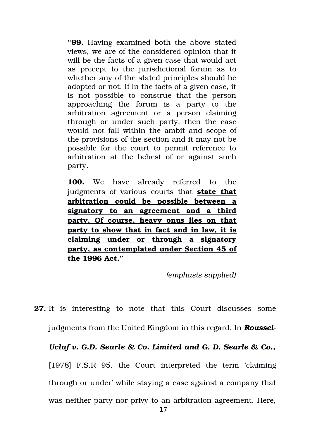**"99.** Having examined both the above stated views, we are of the considered opinion that it will be the facts of a given case that would act as precept to the jurisdictional forum as to whether any of the stated principles should be adopted or not. If in the facts of a given case, it is not possible to construe that the person approaching the forum is a party to the arbitration agreement or a person claiming through or under such party, then the case would not fall within the ambit and scope of the provisions of the section and it may not be possible for the court to permit reference to arbitration at the behest of or against such party.

**100.** We have already referred to the judgments of various courts that **state that arbitration could be possible between a signatory to an agreement and a third party. Of course, heavy onus lies on that party to show that in fact and in law, it is claiming under or through a signatory party, as contemplated under Section 45 of the 1996 Act."**

*(emphasis supplied)*

**27.** It is interesting to note that this Court discusses some judgments from the United Kingdom in this regard. In *Roussel-*

*Uclaf v. G.D. Searle & Co. Limited and G. D. Searle & Co.,* [1978] F.S.R 95, the Court interpreted the term 'claiming through or under' while staying a case against a company that was neither party nor privy to an arbitration agreement. Here,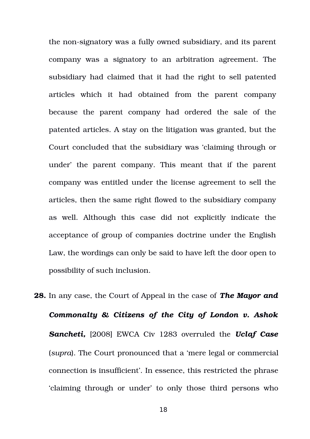the non-signatory was a fully owned subsidiary, and its parent company was a signatory to an arbitration agreement. The subsidiary had claimed that it had the right to sell patented articles which it had obtained from the parent company because the parent company had ordered the sale of the patented articles. A stay on the litigation was granted, but the Court concluded that the subsidiary was 'claiming through or under' the parent company. This meant that if the parent company was entitled under the license agreement to sell the articles, then the same right flowed to the subsidiary company as well. Although this case did not explicitly indicate the acceptance of group of companies doctrine under the English Law, the wordings can only be said to have left the door open to possibility of such inclusion.

**28.** In any case, the Court of Appeal in the case of *The Mayor and Commonalty & Citizens of the City of London v. Ashok* **Sancheti,** [2008] EWCA Civ 1283 overruled the *Uclaf Case* (*supra*). The Court pronounced that a 'mere legal or commercial connection is insufficient'. In essence, this restricted the phrase 'claiming through or under' to only those third persons who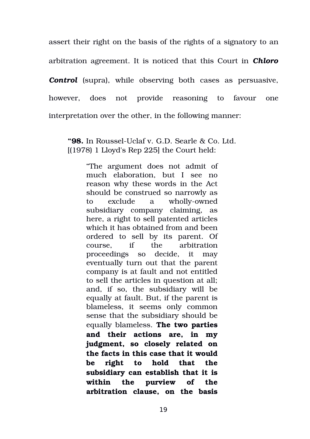assert their right on the basis of the rights of a signatory to an arbitration agreement. It is noticed that this Court in *Chloro* **Control** (supra), while observing both cases as persuasive, however, does not provide reasoning to favour one interpretation over the other, in the following manner:

"98. In Roussel-Uclaf v. G.D. Searle & Co. Ltd. [(1978) 1 Lloyd's Rep 225] the Court held:

> "The argument does not admit of much elaboration, but I see no reason why these words in the Act should be construed so narrowly as to exclude a wholly-owned subsidiary company claiming, as here, a right to sell patented articles which it has obtained from and been ordered to sell by its parent. Of course, if the arbitration proceedings so decide, it may eventually turn out that the parent company is at fault and not entitled to sell the articles in question at all; and, if so, the subsidiary will be equally at fault. But, if the parent is blameless, it seems only common sense that the subsidiary should be equally blameless. **The two parties and their actions are, in my judgment, so closely related on the facts in this case that it would be right to hold that the subsidiary can establish that it is within the purview of the arbitration clause, on the basis**

> > 19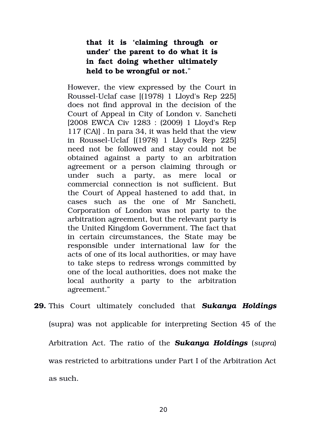# **that it is 'claiming through or under' the parent to do what it is in fact doing whether ultimately held to be wrongful or not.**"

However, the view expressed by the Court in Roussel-Uclaf case  $[(1978) 1$  Lloyd's Rep 225 does not find approval in the decision of the Court of Appeal in City of London v. Sancheti [2008 EWCA Civ 1283 : (2009) 1 Lloyd's Rep 117 (CA)] . In para 34, it was held that the view in Roussel-Uclaf [(1978) 1 Lloyd's Rep 225] need not be followed and stay could not be obtained against a party to an arbitration agreement or a person claiming through or under such a party, as mere local or commercial connection is not sufficient. But the Court of Appeal hastened to add that, in cases such as the one of Mr Sancheti, Corporation of London was not party to the arbitration agreement, but the relevant party is the United Kingdom Government. The fact that in certain circumstances, the State may be responsible under international law for the acts of one of its local authorities, or may have to take steps to redress wrongs committed by one of the local authorities, does not make the local authority a party to the arbitration agreement."

**29.** This Court ultimately concluded that *Sukanya Holdings* (supra) was not applicable for interpreting Section 45 of the Arbitration Act. The ratio of the *Sukanya Holdings* (*supra*) was restricted to arbitrations under Part I of the Arbitration Act as such.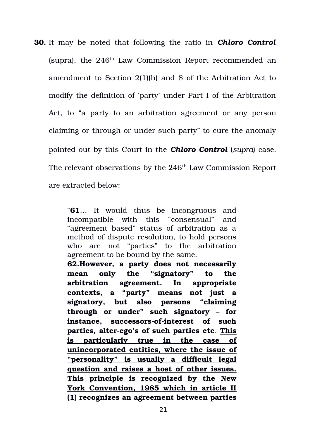**30.** It may be noted that following the ratio in *Chloro Control* (supra), the  $246<sup>th</sup>$  Law Commission Report recommended an amendment to Section 2(1)(h) and 8 of the Arbitration Act to modify the definition of 'party' under Part I of the Arbitration Act, to "a party to an arbitration agreement or any person claiming or through or under such party" to cure the anomaly pointed out by this Court in the *Chloro Control* (*supra*) case. The relevant observations by the  $246<sup>th</sup>$  Law Commission Report are extracted below:

> "**61**… It would thus be incongruous and incompatible with this "consensual" and "agreement based" status of arbitration as a method of dispute resolution, to hold persons who are not "parties" to the arbitration agreement to be bound by the same.

> **62.However, a party does not necessarily mean only the "signatory" to the arbitration agreement. In appropriate contexts, a "party" means not just a signatory, but also persons "claiming through or under" such signatory – for** instance, successors-of-interest of such parties, alter-ego's of such parties etc. This **is particularly true in the case of unincorporated entities, where the issue of "personality" is usually a difficult legal question and raises a host of other issues. This principle is recognized by the New York Convention, 1985 which in article II (1) recognizes an agreement between parties**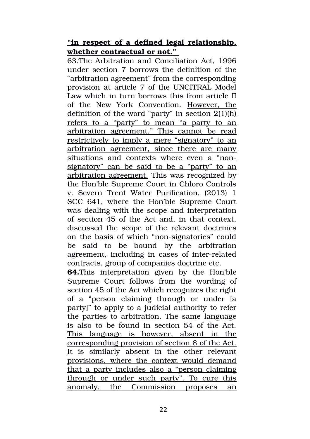# **"in respect of a defined legal relationship, whether contractual or not."**

63.The Arbitration and Conciliation Act, 1996 under section 7 borrows the definition of the "arbitration agreement" from the corresponding provision at article 7 of the UNCITRAL Model Law which in turn borrows this from article II of the New York Convention. However, the definition of the word "party" in section 2(1)(h) refers to a "party" to mean "a party to an arbitration agreement." This cannot be read restrictively to imply a mere "signatory" to an arbitration agreement, since there are many situations and contexts where even a "nonsignatory" can be said to be a "party" to an arbitration agreement. This was recognized by the Hon'ble Supreme Court in Chloro Controls v. Severn Trent Water Purification, (2013) 1 SCC 641, where the Hon'ble Supreme Court was dealing with the scope and interpretation of section 45 of the Act and, in that context, discussed the scope of the relevant doctrines on the basis of which "non-signatories" could be said to be bound by the arbitration agreement, including in cases of inter-related contracts, group of companies doctrine etc.

**64.**This interpretation given by the Hon'ble Supreme Court follows from the wording of section 45 of the Act which recognizes the right of a "person claiming through or under [a party]" to apply to a judicial authority to refer the parties to arbitration. The same language is also to be found in section 54 of the Act. This language is however, absent in the corresponding provision of section 8 of the Act. It is similarly absent in the other relevant provisions, where the context would demand that a party includes also a "person claiming through or under such party". To cure this anomaly, the Commission proposes an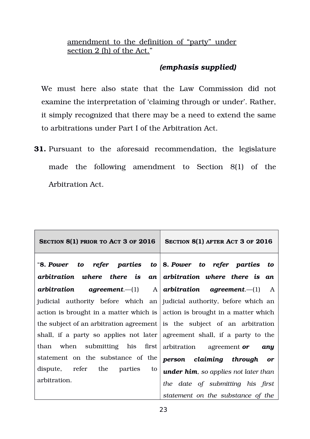amendment to the definition of "party" under section 2 (h) of the Act."

# *(emphasis supplied)*

We must here also state that the Law Commission did not examine the interpretation of 'claiming through or under'. Rather, it simply recognized that there may be a need to extend the same to arbitrations under Part I of the Arbitration Act.

**31.** Pursuant to the aforesaid recommendation, the legislature made the following amendment to Section 8(1) of the Arbitration Act.

| SECTION 8(1) PRIOR TO ACT 3 OF 2016                                                | SECTION 8(1) AFTER ACT 3 OF 2016              |
|------------------------------------------------------------------------------------|-----------------------------------------------|
| "8. Power to refer parties to $\vert$ 8. Power to refer parties to                 |                                               |
| arbitration where there is an arbitration where there is an                        |                                               |
| arbitration                                                                        | agreement.—(1) A arbitration agreement.—(1) A |
| judicial authority before which an judicial authority, before which an             |                                               |
| action is brought in a matter which is $\vert$ action is brought in a matter which |                                               |
| the subject of an arbitration agreement is the subject of an arbitration           |                                               |
| shall, if a party so applies not later agreement shall, if a party to the          |                                               |
| than when submitting his first arbitration agreement or                            | any                                           |
| statement on the substance of the                                                  | person claiming through<br><b>or</b>          |
| dispute, refer the parties<br>to                                                   | under him, so applies not later than          |
| arbitration.                                                                       | the date of submitting his first              |
|                                                                                    | statement on the substance of the             |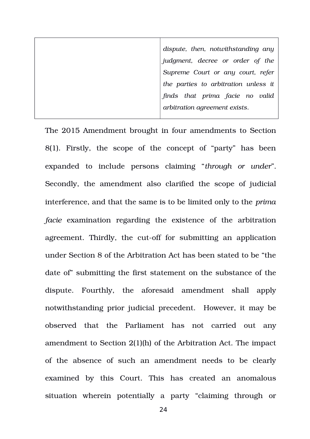*dispute, then, notwithstanding any judgment, decree or order of the Supreme Court or any court, refer the parties to arbitration unless it finds that prima facie no valid arbitration agreement exists*.

The 2015 Amendment brought in four amendments to Section  $8(1)$ . Firstly, the scope of the concept of "party" has been expanded to include persons claiming "*through or under*". Secondly, the amendment also clarified the scope of judicial interference, and that the same is to be limited only to the *prima facie* examination regarding the existence of the arbitration agreement. Thirdly, the cut-off for submitting an application under Section 8 of the Arbitration Act has been stated to be "the date of" submitting the first statement on the substance of the dispute. Fourthly, the aforesaid amendment shall apply notwithstanding prior judicial precedent. However, it may be observed that the Parliament has not carried out any amendment to Section 2(1)(h) of the Arbitration Act. The impact of the absence of such an amendment needs to be clearly examined by this Court. This has created an anomalous situation wherein potentially a party "claiming through or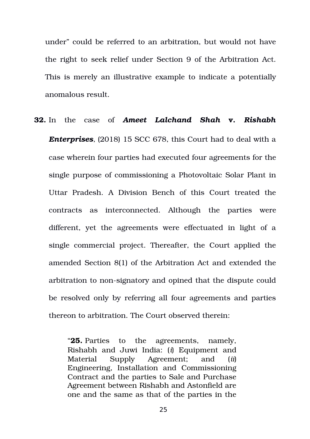under" could be referred to an arbitration, but would not have the right to seek relief under Section 9 of the Arbitration Act. This is merely an illustrative example to indicate a potentially anomalous result.

# **32.** In the case of *Ameet Lalchand Shah* **v.** *Rishabh Enterprises*, (2018) 15 SCC 678, this Court had to deal with a case wherein four parties had executed four agreements for the single purpose of commissioning a Photovoltaic Solar Plant in Uttar Pradesh. A Division Bench of this Court treated the contracts as interconnected. Although the parties were different, yet the agreements were effectuated in light of a single commercial project. Thereafter, the Court applied the amended Section 8(1) of the Arbitration Act and extended the arbitration to non-signatory and opined that the dispute could be resolved only by referring all four agreements and parties thereon to arbitration. The Court observed therein:

"**25.** Parties to the agreements, namely, Rishabh and Juwi India: (*i*) Equipment and Material Supply Agreement; and (*ii*) Engineering, Installation and Commissioning Contract and the parties to Sale and Purchase Agreement between Rishabh and Astonfield are one and the same as that of the parties in the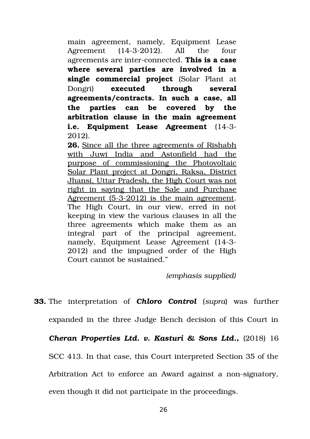main agreement, namely, Equipment Lease Agreement (14-3-2012). All the four agreements are inter-connected. This is a case **where several parties are involved in a single commercial project** (Solar Plant at Dongri) **executed through several agreements/contracts. In such a case, all the parties can be covered by the arbitration clause in the main agreement i.e. Equipment Lease Agreement** (14-3-2012).

**26.** Since all the three agreements of Rishabh with Juwi India and Astonfield had the purpose of commissioning the Photovoltaic Solar Plant project at Dongri, Raksa, District Jhansi, Uttar Pradesh, the High Court was not right in saying that the Sale and Purchase Agreement (5-3-2012) is the main agreement. The High Court, in our view, erred in not keeping in view the various clauses in all the three agreements which make them as an integral part of the principal agreement, namely, Equipment Lease Agreement (14-3-2012) and the impugned order of the High Court cannot be sustained."

*(emphasis supplied)*

# **33.** The interpretation of *Chloro Control* (*supra*) was further expanded in the three Judge Bench decision of this Court in **Cheran Properties Ltd. v. Kasturi & Sons Ltd.,** (2018) 16

SCC 413. In that case, this Court interpreted Section 35 of the

Arbitration Act to enforce an Award against a non-signatory,

even though it did not participate in the proceedings.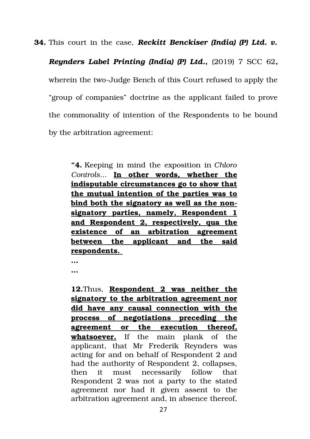**34.** This court in the case, *Reckitt Benckiser (India) (P) Ltd. v.*

*Reynders Label Printing (India) (P) Ltd.***,** (2019) 7 SCC 62**,** wherein the two-Judge Bench of this Court refused to apply the "group of companies" doctrine as the applicant failed to prove the commonality of intention of the Respondents to be bound by the arbitration agreement:

**"4.** Keeping in mind the exposition in *Chloro Controls*... **In other words, whether the indisputable circumstances go to show that the mutual intention of the parties was to bind both the signatory as well as the nonsignatory parties, namely, Respondent 1 and Respondent 2, respectively, qua the existence of an arbitration agreement between the applicant and the said respondents.**

**… …**

**12.**Thus, **Respondent 2 was neither the signatory to the arbitration agreement nor did have any causal connection with the process of negotiations preceding the agreement or the execution thereof, whatsoever.** If the main plank of the applicant, that Mr Frederik Reynders was acting for and on behalf of Respondent 2 and had the authority of Respondent 2, collapses, then it must necessarily follow that Respondent 2 was not a party to the stated agreement nor had it given assent to the arbitration agreement and, in absence thereof,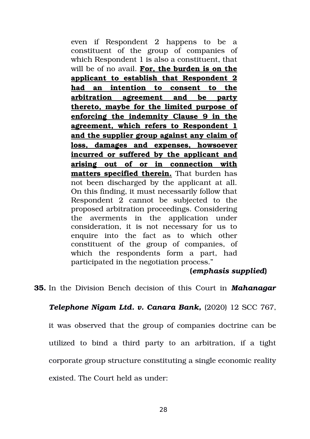even if Respondent 2 happens to be a constituent of the group of companies of which Respondent 1 is also a constituent, that will be of no avail. **For, the burden is on the applicant to establish that Respondent 2 had an intention to consent to the arbitration agreement and be party thereto, maybe for the limited purpose of enforcing the indemnity Clause 9 in the agreement, which refers to Respondent 1 and the supplier group against any claim of loss, damages and expenses, howsoever incurred or suffered by the applicant and arising out of or in connection with matters specified therein.** That burden has not been discharged by the applicant at all. On this finding, it must necessarily follow that Respondent 2 cannot be subjected to the proposed arbitration proceedings. Considering the averments in the application under consideration, it is not necessary for us to enquire into the fact as to which other constituent of the group of companies, of which the respondents form a part, had participated in the negotiation process."

## **(***emphasis supplied***)**

**35.** In the Division Bench decision of this Court in *Mahanagar*

## *Telephone Nigam Ltd. v. Canara Bank,* (2020) 12 SCC 767,

it was observed that the group of companies doctrine can be utilized to bind a third party to an arbitration, if a tight corporate group structure constituting a single economic reality existed. The Court held as under: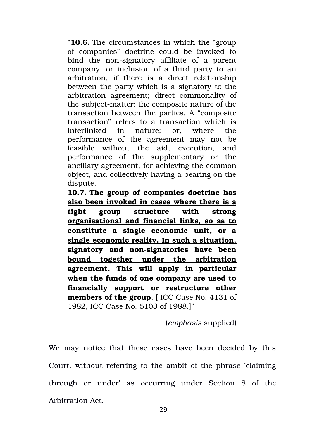"**10.6.** The circumstances in which the "group of companies" doctrine could be invoked to bind the non-signatory affiliate of a parent company, or inclusion of a third party to an arbitration, if there is a direct relationship between the party which is a signatory to the arbitration agreement; direct commonality of the subject-matter; the composite nature of the transaction between the parties. A "composite transaction" refers to a transaction which is interlinked in nature; or, where the performance of the agreement may not be feasible without the aid, execution, and performance of the supplementary or the ancillary agreement, for achieving the common object, and collectively having a bearing on the dispute.

**10.7. The group of companies doctrine has also been invoked in cases where there is a tight group structure with strong organisational and financial links, so as to constitute a single economic unit, or a single economic reality. In such a situation,** signatory and non-signatories have been **bound together under the arbitration agreement. This will apply in particular when the funds of one company are used to financially support or restructure other members of the group**. [ ICC Case No. 4131 of 1982, ICC Case No. 5103 of 1988.]"

#### (*emphasis* supplied)

We may notice that these cases have been decided by this Court, without referring to the ambit of the phrase 'claiming through or under' as occurring under Section 8 of the Arbitration Act.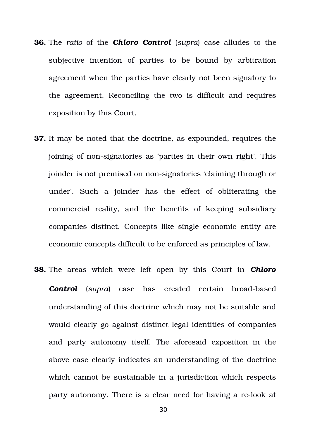- **36.** The *ratio* of the *Chloro Control* (*supra*) case alludes to the subjective intention of parties to be bound by arbitration agreement when the parties have clearly not been signatory to the agreement. Reconciling the two is difficult and requires exposition by this Court.
- **37.** It may be noted that the doctrine, as expounded, requires the joining of non-signatories as 'parties in their own right'. This joinder is not premised on non-signatories 'claiming through or under'. Such a joinder has the effect of obliterating the commercial reality, and the benefits of keeping subsidiary companies distinct. Concepts like single economic entity are economic concepts difficult to be enforced as principles of law.
- **38.** The areas which were left open by this Court in **Chloro Control** (*supra*) case has created certain broad-based understanding of this doctrine which may not be suitable and would clearly go against distinct legal identities of companies and party autonomy itself. The aforesaid exposition in the above case clearly indicates an understanding of the doctrine which cannot be sustainable in a jurisdiction which respects party autonomy. There is a clear need for having a re-look at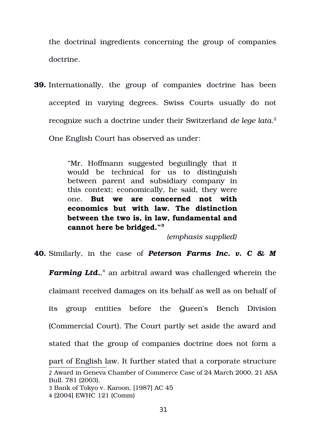the doctrinal ingredients concerning the group of companies doctrine.

**39.** Internationally, the group of companies doctrine has been accepted in varying degrees. Swiss Courts usually do not recognize such a doctrine under their Switzerland *de lege lata*. [2](#page-30-0) One English Court has observed as under:

> "Mr. Hoffmann suggested beguilingly that it would be technical for us to distinguish between parent and subsidiary company in this context; economically, he said, they were one. **But we are concerned not with economics but with law. The distinction between the two is, in law, fundamental and cannot here be bridged."[3](#page-30-1)**

> > *(emphasis supplied)*

**40.** Similarly, in the case of *Peterson Farms Inc. v. C & M*

*Farming Ltd.*, [4](#page-30-2) an arbitral award was challenged wherein the claimant received damages on its behalf as well as on behalf of its group entities before the Queen's Bench Division (Commercial Court). The Court partly set aside the award and stated that the group of companies doctrine does not form a part of English law. It further stated that a corporate structure 2 Award in Geneva Chamber of Commerce Case of 24 March 2000, 21 ASA Bull. 781 (2003).

<span id="page-30-1"></span><span id="page-30-0"></span><sup>3</sup> Bank of Tokyo v. Karoon, [1987] AC 45

<span id="page-30-2"></span><sup>4</sup> [2004] EWHC 121 (Comm)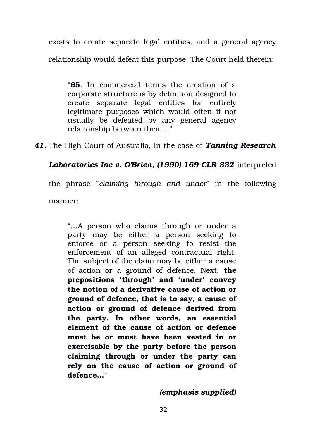exists to create separate legal entities, and a general agency relationship would defeat this purpose. The Court held therein:

"**65**. In commercial terms the creation of a corporate structure is by definition designed to create separate legal entities for entirely legitimate purposes which would often if not usually be defeated by any general agency relationship between them…"

*41.* The High Court of Australia, in the case of *Tanning Research*

*Laboratories Inc v. O'Brien, (1990) 169 CLR 332* interpreted

the phrase "*claiming through and under*" in the following manner:

"…A person who claims through or under a party may be either a person seeking to enforce or a person seeking to resist the enforcement of an alleged contractual right. The subject of the claim may be either a cause of action or a ground of defence. Next, **the prepositions 'through' and 'under' convey the notion of a derivative cause of action or ground of defence, that is to say, a cause of action or ground of defence derived from the party. In other words, an essential element of the cause of action or defence must be or must have been vested in or exercisable by the party before the person claiming through or under the party can** rely on the cause of action or ground of **defence…**"

*(emphasis supplied)*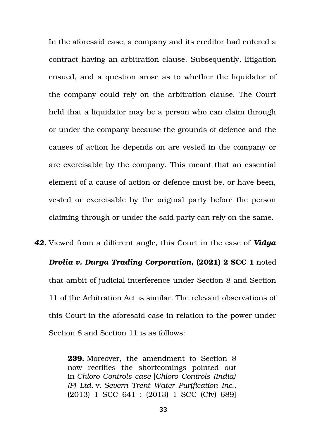In the aforesaid case, a company and its creditor had entered a contract having an arbitration clause. Subsequently, litigation ensued, and a question arose as to whether the liquidator of the company could rely on the arbitration clause. The Court held that a liquidator may be a person who can claim through or under the company because the grounds of defence and the causes of action he depends on are vested in the company or are exercisable by the company. This meant that an essential element of a cause of action or defence must be, or have been, vested or exercisable by the original party before the person claiming through or under the said party can rely on the same.

*42.* Viewed from a different angle, this Court in the case of *Vidya Drolia v. Durga Trading Corporation***, (2021) 2 SCC 1** noted that ambit of judicial interference under Section 8 and Section 11 of the Arbitration Act is similar. The relevant observations of this Court in the aforesaid case in relation to the power under Section 8 and Section 11 is as follows:

> **239.** Moreover, the amendment to Section 8 now rectifies the shortcomings pointed out in *Chloro Controls case* [*Chloro Controls (India) (P) Ltd.* v. *Severn Trent Water Purification Inc.*, (2013) 1 SCC 641 : (2013) 1 SCC (Civ) 689]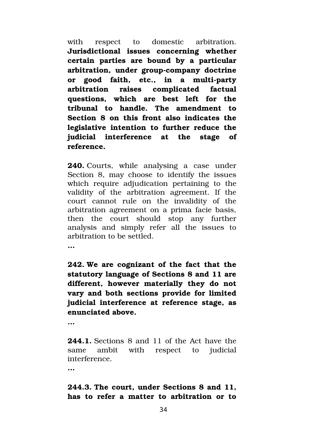with respect to domestic arbitration. **Jurisdictional issues concerning whether certain parties are bound by a particular** arbitration, under group-company doctrine or good faith, etc., in a multi-party **arbitration raises complicated factual questions, which are best left for the tribunal to handle. The amendment to Section 8 on this front also indicates the legislative intention to further reduce the judicial interference at the stage of reference.**

**240.** Courts, while analysing a case under Section 8, may choose to identify the issues which require adjudication pertaining to the validity of the arbitration agreement. If the court cannot rule on the invalidity of the arbitration agreement on a prima facie basis, then the court should stop any further analysis and simply refer all the issues to arbitration to be settled.

**…**

**242. We are cognizant of the fact that the statutory language of Sections 8 and 11 are different, however materially they do not vary and both sections provide for limited judicial interference at reference stage, as enunciated above.**

**…**

**244.1.** Sections 8 and 11 of the Act have the same ambit with respect to judicial interference.

**…**

# **244.3. The court, under Sections 8 and 11,** has to refer a matter to arbitration or to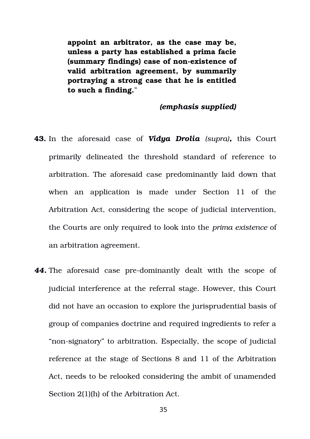**appoint an arbitrator, as the case may be, unless a party has established a prima facie (summary findings) case of non-existence of valid arbitration agreement, by summarily portraying a strong case that he is entitled to such a finding.**"

### *(emphasis supplied)*

- **43.** In the aforesaid case of *Vidya Drolia (supra),* this Court primarily delineated the threshold standard of reference to arbitration. The aforesaid case predominantly laid down that when an application is made under Section 11 of the Arbitration Act, considering the scope of judicial intervention, the Courts are only required to look into the *prima existence* of an arbitration agreement.
- **44.** The aforesaid case pre-dominantly dealt with the scope of judicial interference at the referral stage. However, this Court did not have an occasion to explore the jurisprudential basis of group of companies doctrine and required ingredients to refer a "non-signatory" to arbitration. Especially, the scope of judicial reference at the stage of Sections 8 and 11 of the Arbitration Act, needs to be relooked considering the ambit of unamended Section 2(1)(h) of the Arbitration Act.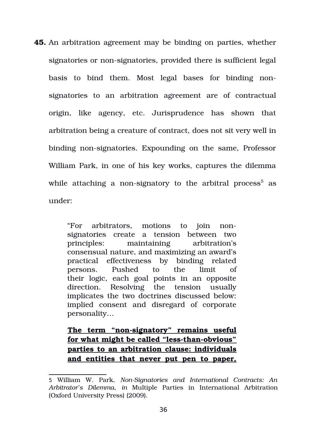**45.** An arbitration agreement may be binding on parties, whether signatories or non-signatories, provided there is sufficient legal basis to bind them. Most legal bases for binding nonsignatories to an arbitration agreement are of contractual origin, like agency, etc. Jurisprudence has shown that arbitration being a creature of contract, does not sit very well in binding non-signatories. Expounding on the same, Professor William Park, in one of his key works, captures the dilemma while attaching a non-signatory to the arbitral process $^5$  $^5$  as under:

> "For arbitrators, motions to join nonsignatories create a tension between two principles: maintaining arbitration's consensual nature, and maximizing an award's practical effectiveness by binding related persons. Pushed to the limit of their logic, each goal points in an opposite direction. Resolving the tension usually implicates the two doctrines discussed below: implied consent and disregard of corporate personality…

> The term "non-signatory" remains useful for what might be called "less-than-obvious" **parties to an arbitration clause: individuals and entities that never put pen to paper,**

<span id="page-35-0"></span><sup>5</sup> William W. Park, *NonSignatories and International Contracts: An Arbitrator's Dilemma*, *in* Multiple Parties in International Arbitration (Oxford University Press) (2009).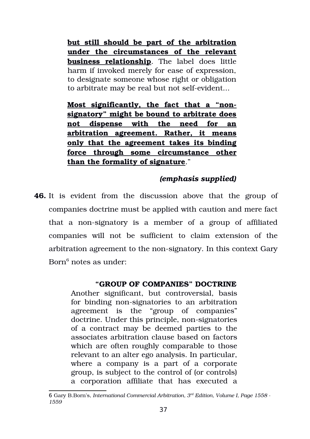**but still should be part of the arbitration under the circumstances of the relevant business relationship**. The label does little harm if invoked merely for ease of expression, to designate someone whose right or obligation to arbitrate may be real but not self-evident...

**Most significantly, the fact that a "nonsignatory" might be bound to arbitrate does not dispense with the need for an arbitration agreement. Rather, it means only that the agreement takes its binding force through some circumstance other than the formality of signature**."

# *(emphasis supplied)*

**46.** It is evident from the discussion above that the group of companies doctrine must be applied with caution and mere fact that a non-signatory is a member of a group of affiliated companies will not be sufficient to claim extension of the arbitration agreement to the non-signatory. In this context Gary Born<sup>[6](#page-36-0)</sup> notes as under:

# **"GROUP OF COMPANIES" DOCTRINE**

Another significant, but controversial, basis for binding non-signatories to an arbitration agreement is the "group of companies" doctrine. Under this principle, non-signatories of a contract may be deemed parties to the associates arbitration clause based on factors which are often roughly comparable to those relevant to an alter ego analysis. In particular, where a company is a part of a corporate group, is subject to the control of (or controls) a corporation affiliate that has executed a

<span id="page-36-0"></span><sup>6</sup> Gary B.Born's, *International Commercial Arbitration, 3rd Edition, Volume I, Page 1558 1559*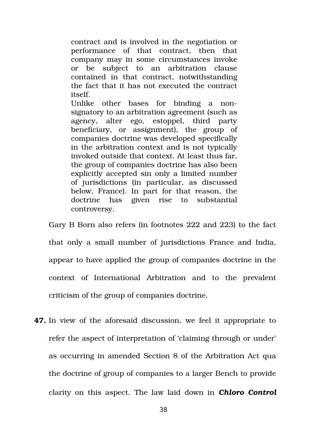contract and is involved in the negotiation or performance of that contract, then that company may in some circumstances invoke or be subject to an arbitration clause contained in that contract, notwithstanding the fact that it has not executed the contract itself.

Unlike other bases for binding a nonsignatory to an arbitration agreement (such as agency, alter ego, estoppel, third party beneficiary, or assignment), the group of companies doctrine was developed specifically in the arbitration context and is not typically invoked outside that context. At least thus far, the group of companies doctrine has also been explicitly accepted sin only a limited number of jurisdictions (in particular, as discussed below, France). In part for that reason, the doctrine has given rise to substantial controversy.

Gary B Born also refers (in footnotes 222 and 223) to the fact that only a small number of jurisdictions France and India, appear to have applied the group of companies doctrine in the context of International Arbitration and to the prevalent criticism of the group of companies doctrine.

**47.** In view of the aforesaid discussion, we feel it appropriate to refer the aspect of interpretation of 'claiming through or under' as occurring in amended Section 8 of the Arbitration Act qua the doctrine of group of companies to a larger Bench to provide clarity on this aspect. The law laid down in *Chloro Control*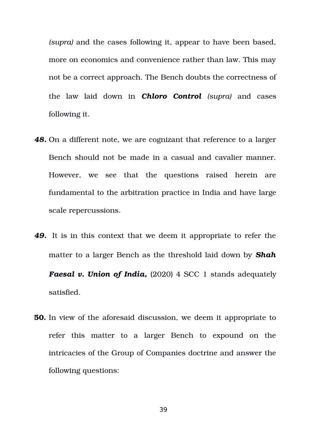*(supra)* and the cases following it, appear to have been based, more on economics and convenience rather than law. This may not be a correct approach. The Bench doubts the correctness of the law laid down in *Chloro Control (supra)* and cases following it.

- *48.* On a different note, we are cognizant that reference to a larger Bench should not be made in a casual and cavalier manner. However, we see that the questions raised herein are fundamental to the arbitration practice in India and have large scale repercussions.
- *49.* It is in this context that we deem it appropriate to refer the matter to a larger Bench as the threshold laid down by *Shah* **Faesal v. Union of India,** (2020) 4 SCC 1 stands adequately satisfied.
- **50.** In view of the aforesaid discussion, we deem it appropriate to refer this matter to a larger Bench to expound on the intricacies of the Group of Companies doctrine and answer the following questions:

39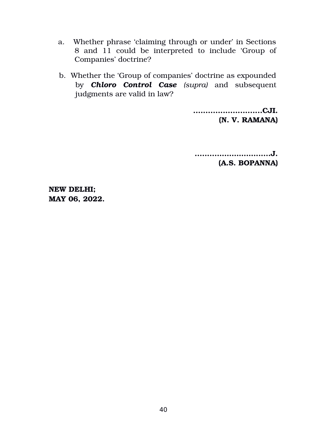- a. Whether phrase 'claiming through or under' in Sections 8 and 11 could be interpreted to include 'Group of Companies' doctrine?
- b. Whether the 'Group of companies' doctrine as expounded by *Chloro Control Case (supra)* and subsequent judgments are valid in law?

**............................CJI. (N. V. RAMANA)**

**.........…………….......J. (A.S. BOPANNA)**

**NEW DELHI; MAY 06, 2022.**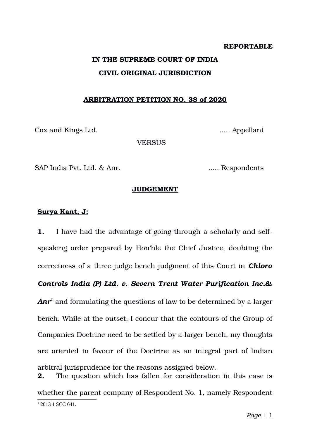#### **REPORTABLE**

# **IN THE SUPREME COURT OF INDIA CIVIL ORIGINAL JURISDICTION**

#### **ARBITRATION PETITION NO. 38 of 2020**

Cox and Kings Ltd. ..... Appellant

**VERSUS** 

SAP India Pvt. Ltd. & Anr. ...... ....... Respondents

#### **JUDGEMENT**

#### **Surya Kant, J:**

**1.** I have had the advantage of going through a scholarly and selfspeaking order prepared by Hon'ble the Chief Justice, doubting the correctness of a three judge bench judgment of this Court in *Chloro*

*Controls India (P) Ltd. v. Severn Trent Water Purification Inc.&*

*Anr[1](#page-40-0)* and formulating the questions of law to be determined by a larger bench. While at the outset, I concur that the contours of the Group of Companies Doctrine need to be settled by a larger bench, my thoughts are oriented in favour of the Doctrine as an integral part of Indian arbitral jurisprudence for the reasons assigned below.

<span id="page-40-0"></span>**2.** The question which has fallen for consideration in this case is whether the parent company of Respondent No. 1, namely Respondent 1 2013 1 SCC 641.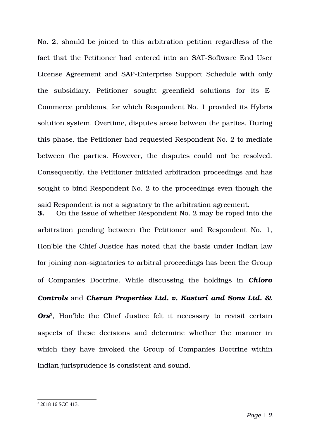No. 2, should be joined to this arbitration petition regardless of the fact that the Petitioner had entered into an SAT-Software End User License Agreement and SAP-Enterprise Support Schedule with only the subsidiary. Petitioner sought greenfield solutions for its E-Commerce problems, for which Respondent No. 1 provided its Hybris solution system. Overtime, disputes arose between the parties. During this phase, the Petitioner had requested Respondent No. 2 to mediate between the parties. However, the disputes could not be resolved. Consequently, the Petitioner initiated arbitration proceedings and has sought to bind Respondent No. 2 to the proceedings even though the said Respondent is not a signatory to the arbitration agreement.

**3.** On the issue of whether Respondent No. 2 may be roped into the arbitration pending between the Petitioner and Respondent No. 1, Hon'ble the Chief Justice has noted that the basis under Indian law for joining non-signatories to arbitral proceedings has been the Group of Companies Doctrine. While discussing the holdings in *Chloro Controls* and *Cheran Properties Ltd. v. Kasturi and Sons Ltd. &* Ors<sup>[2](#page-41-0)</sup>, Hon'ble the Chief Justice felt it necessary to revisit certain aspects of these decisions and determine whether the manner in which they have invoked the Group of Companies Doctrine within Indian jurisprudence is consistent and sound.

<span id="page-41-0"></span><sup>2</sup> 2018 16 SCC 413.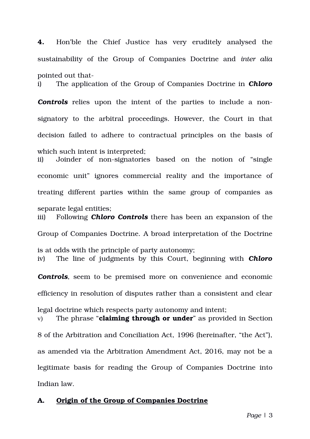#### **A. Origin of the Group of Companies Doctrine**

8 of the Arbitration and Conciliation Act, 1996 (hereinafter, "the Act"), as amended via the Arbitration Amendment Act, 2016, may not be a legitimate basis for reading the Group of Companies Doctrine into Indian law.

efficiency in resolution of disputes rather than a consistent and clear

v) The phrase "**claiming through or under**" as provided in Section

legal doctrine which respects party autonomy and intent;

*Controls*, seem to be premised more on convenience and economic

Group of Companies Doctrine. A broad interpretation of the Doctrine is at odds with the principle of party autonomy; iv) The line of judgments by this Court, beginning with *Chloro*

treating different parties within the same group of companies as separate legal entities; iii) Following *Chloro Controls* there has been an expansion of the

**Controls** relies upon the intent of the parties to include a nonsignatory to the arbitral proceedings. However, the Court in that decision failed to adhere to contractual principles on the basis of which such intent is interpreted;

ii) Joinder of non-signatories based on the notion of "single

economic unit" ignores commercial reality and the importance of

**4.** Hon'ble the Chief Justice has very eruditely analysed the sustainability of the Group of Companies Doctrine and *inter alia* pointed out that-

i) The application of the Group of Companies Doctrine in *Chloro*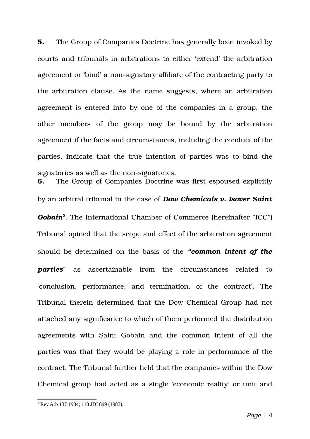**5.** The Group of Companies Doctrine has generally been invoked by courts and tribunals in arbitrations to either 'extend' the arbitration agreement or 'bind' a non-signatory affiliate of the contracting party to the arbitration clause. As the name suggests, where an arbitration agreement is entered into by one of the companies in a group, the other members of the group may be bound by the arbitration agreement if the facts and circumstances, including the conduct of the parties, indicate that the true intention of parties was to bind the signatories as well as the non-signatories.

**6.** The Group of Companies Doctrine was first espoused explicitly by an arbitral tribunal in the case of *Dow Chemicals v. Isover Saint Gobain[3](#page-43-0)* . The International Chamber of Commerce (hereinafter "ICC") Tribunal opined that the scope and effect of the arbitration agreement should be determined on the basis of the *"common intent of the parties* as ascertainable from the circumstances related to 'conclusion, performance, and termination, of the contract'. The Tribunal therein determined that the Dow Chemical Group had not attached any significance to which of them performed the distribution agreements with Saint Gobain and the common intent of all the parties was that they would be playing a role in performance of the contract. The Tribunal further held that the companies within the Dow Chemical group had acted as a single 'economic reality' or unit and

<span id="page-43-0"></span><sup>3</sup> Rev Arb 137 1984; 110 JDI 899 (1983).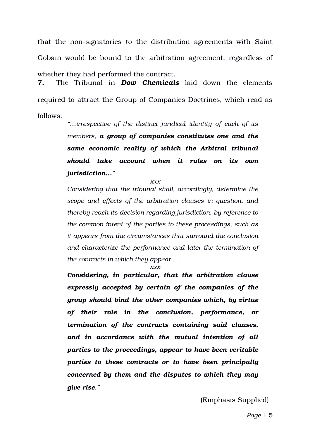that the non-signatories to the distribution agreements with Saint Gobain would be bound to the arbitration agreement, regardless of whether they had performed the contract.

**7.** The Tribunal in *Dow Chemicals* laid down the elements required to attract the Group of Companies Doctrines, which read as follows:

> *"…irrespective of the distinct juridical identity of each of its members, a group of companies constitutes one and the same economic reality of which the Arbitral tribunal should take account when it rules on its own jurisdiction..."*

> > *xxx*

*Considering that the tribunal shall, accordingly, determine the scope and effects of the arbitration clauses in question, and thereby reach its decision regarding jurisdiction, by reference to the common intent of the parties to these proceedings, such as it appears from the circumstances that surround the conclusion and characterize the performance and later the termination of the contracts in which they appear.….*

*xxx*

*Considering, in particular, that the arbitration clause expressly accepted by certain of the companies of the group should bind the other companies which, by virtue of their role in the conclusion, performance, or termination of the contracts containing said clauses, and in accordance with the mutual intention of all parties to the proceedings, appear to have been veritable parties to these contracts or to have been principally concerned by them and the disputes to which they may give rise."*

(Emphasis Supplied)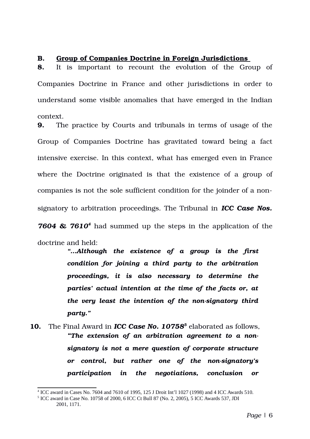#### **B. Group of Companies Doctrine in Foreign Jurisdictions**

**8.** It is important to recount the evolution of the Group of Companies Doctrine in France and other jurisdictions in order to understand some visible anomalies that have emerged in the Indian context.

**9.** The practice by Courts and tribunals in terms of usage of the Group of Companies Doctrine has gravitated toward being a fact intensive exercise. In this context, what has emerged even in France where the Doctrine originated is that the existence of a group of companies is not the sole sufficient condition for the joinder of a nonsignatory to arbitration proceedings. The Tribunal in *ICC Case Nos.*

760[4](#page-45-0) & 7610<sup>4</sup> had summed up the steps in the application of the doctrine and held:

> *"…Although the existence of a group is the first condition for joining a third party to the arbitration proceedings, it is also necessary to determine the parties' actual intention at the time of the facts or, at the very least the intention of the non-signatory third party."*

**10.** The Final Award in *ICC Case No. 10758[5](#page-45-1)* elaborated as follows, *"The extension of an arbitration agreement to a nonsignatory is not a mere question of corporate structure or control, but rather one of the nonsignatory's participation in the negotiations, conclusion or*

<span id="page-45-0"></span><sup>4</sup> ICC award in Cases No. 7604 and 7610 of 1995, 125 J Droit Int'l 1027 (1998) and 4 ICC Awards 510.

<span id="page-45-1"></span><sup>5</sup> ICC award in Case No. 10758 of 2000, 6 ICC Ct Bull 87 (No. 2, 2005), 5 ICC Awards 537, JDI 2001, 1171.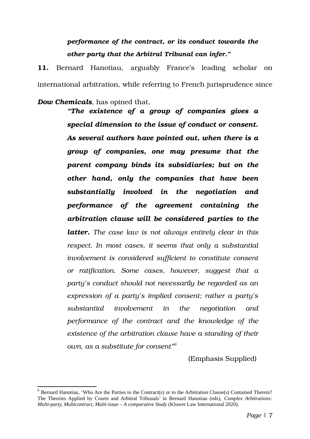# *performance of the contract, or its conduct towards the other party that the Arbitral Tribunal can infer."*

11. Bernard Hanotiau, arguably France's leading scholar on international arbitration, while referring to French jurisprudence since

*Dow Chemicals*, has opined that,

*"The existence of a group of companies gives a special dimension to the issue of conduct or consent. As several authors have pointed out, when there is a group of companies, one may presume that the parent company binds its subsidiaries; but on the other hand, only the companies that have been substantially involved in the negotiation and performance of the agreement containing the arbitration clause will be considered parties to the* latter. The case law is not always entirely clear in this *respect. In most cases, it seems that only a substantial involvement is considered sufficient to constitute consent or ratification. Some cases, however, suggest that a party's conduct should not necessarily be regarded as an expression of a party's implied consent; rather a party's substantial involvement in the negotiation and performance of the contract and the knowledge of the existence of the arbitration clause have a standing of their own, as a substitute for consent"[6](#page-46-0)*

(Emphasis Supplied)

<span id="page-46-0"></span> $^6$  Bernard Hanotiau, 'Who Are the Parties to the Contract(s) or to the Arbitration Clause(s) Contained Therein? The Theories Applied by Courts and Arbitral Tribunals' in Bernard Hanotiau (eds), *Complex Arbitrations: Multi-party, Multicontract, Multi-issue – A comparative Study* (Kluwer Law International 2020).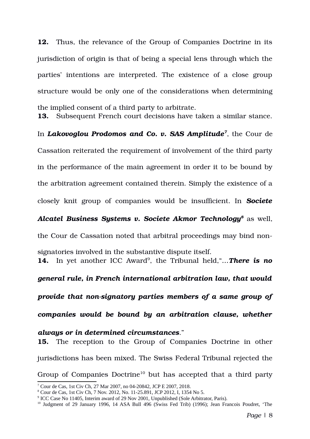**12.** Thus, the relevance of the Group of Companies Doctrine in its jurisdiction of origin is that of being a special lens through which the parties' intentions are interpreted. The existence of a close group structure would be only one of the considerations when determining the implied consent of a third party to arbitrate.

**13.** Subsequent French court decisions have taken a similar stance.

In *Lakovoglou Prodomos and Co. v. SAS Amplitude[7](#page-47-0)* , the Cour de Cassation reiterated the requirement of involvement of the third party in the performance of the main agreement in order it to be bound by

the arbitration agreement contained therein. Simply the existence of a

closely knit group of companies would be insufficient. In *Societe*

*Alcatel Business Systems v. Societe Akmor Technology[8](#page-47-1)* as well, the Cour de Cassation noted that arbitral proceedings may bind nonsignatories involved in the substantive dispute itself.

**14.** In yet another ICC Award<sup>[9](#page-47-2)</sup>, the Tribunal held, "... There is no

*general rule, in French international arbitration law, that would*

*provide that nonsignatory parties members of a same group of*

*companies would be bound by an arbitration clause, whether*

*always or in determined circumstances*." **15.** The reception to the Group of Companies Doctrine in other jurisdictions has been mixed. The Swiss Federal Tribunal rejected the Group of Companies Doctrine<sup>[10](#page-47-3)</sup> but has accepted that a third party

<span id="page-47-0"></span><sup>7</sup> Cour de Cas, 1st Civ Ch, 27 Mar 2007, no 04-20842, JCP E 2007, 2018.

<span id="page-47-1"></span><sup>8</sup> Cour de Cas, 1st Civ Ch, 7 Nov. 2012, No. 11-25.891, JCP 2012, I, 1354 No 5.

<span id="page-47-2"></span><sup>&</sup>lt;sup>9</sup> ICC Case No 11405, Interim award of 29 Nov 2001, Unpublished (Sole Arbitrator, Paris).

<span id="page-47-3"></span><sup>&</sup>lt;sup>10</sup> Judgment of 29 January 1996, 14 ASA Bull 496 (Swiss Fed Trib) (1996); Jean Francois Poudret, 'The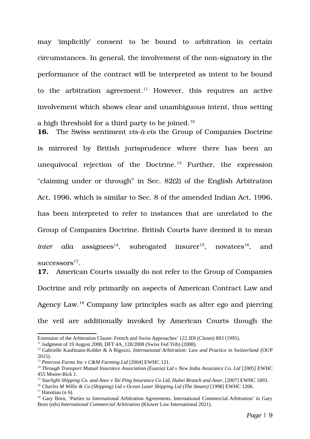may 'implicitly' consent to be bound to arbitration in certain circumstances. In general, the involvement of the nonsignatory in the performance of the contract will be interpreted as intent to be bound to the arbitration agreement.<sup>[11](#page-48-0)</sup> However, this requires an active involvement which shows clear and unambiguous intent, thus setting a high threshold for a third party to be joined.<sup>[12](#page-48-1)</sup>

16. The Swiss sentiment *vis-à-vis* the Group of Companies Doctrine is mirrored by British jurisprudence where there has been an unequivocal rejection of the Doctrine.<sup>[13](#page-48-2)</sup> Further, the expression "claiming under or through" in Sec. 82(2) of the English Arbitration Act, 1996, which is similar to Sec. 8 of the amended Indian Act, 1996, has been interpreted to refer to instances that are unrelated to the Group of Companies Doctrine. British Courts have deemed it to mean *inter alia* assignees<sup>[14](#page-48-3)</sup>, subrogated insurer<sup>[15](#page-48-4)</sup>, novatees<sup>[16](#page-48-5)</sup>, and  $\mathrm{successors}^{17}.$  $\mathrm{successors}^{17}.$  $\mathrm{successors}^{17}.$ 

**17.** American Courts usually do not refer to the Group of Companies Doctrine and rely primarily on aspects of American Contract Law and Agency Law.[18](#page-48-7) Company law principles such as alter ego and piercing the veil are additionally invoked by American Courts though the

<span id="page-48-5"></span><sup>16</sup> *Charles M Willie & Co (Shipping) Ltd v Ocean Laser Shipping Ltd (The Smaro)* [1998] EWHC 1206.

Extension of the Arbitration Clause: French and Swiss Approaches' 122 JDI (Clunet) 893 (1995).

<span id="page-48-0"></span><sup>&</sup>lt;sup>11</sup> Judgment of 19 August 2008, DFT 4A\_128/2008 (Swiss Fed Trib) (2008).

<span id="page-48-1"></span><sup>12</sup> Gabrielle Kaufmann-Kohler & A Rigozzi, *International Arbitration: Law and Practice in Switzerland* (OUP 2015).

<span id="page-48-2"></span><sup>13</sup> *Peterson Farms Inc v C&M Farming Ltd* [2004] EWHC 121.

<span id="page-48-3"></span><sup>&</sup>lt;sup>14</sup> Through Transport Mutual Insurance Association (Euasia) Ltd v New India Assurance Co. Ltd [2005] EWHC 455 Moore-Bick J.

<span id="page-48-4"></span><sup>15</sup> *Starlight Shipping Co. and Anor v Tai Ping Insurance Co Ltd, Hubei Branch and Anor*, [2007] EWHC 1893.

<span id="page-48-6"></span> $17$  Hanotiau (n 6).

<span id="page-48-7"></span><sup>&</sup>lt;sup>18</sup> Gary Born, 'Parties to International Arbitration Agreements, International Commercial Arbitration' in Gary Born (eds) *International Commercial Arbitration* (Kluwer Law International 2021).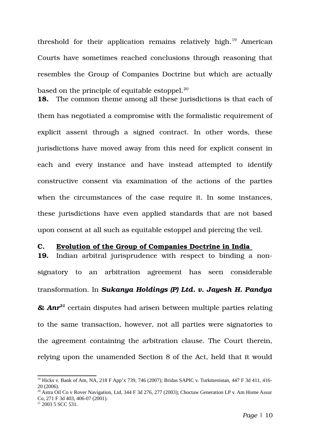threshold for their application remains relatively high.<sup>[19](#page-49-0)</sup> American Courts have sometimes reached conclusions through reasoning that resembles the Group of Companies Doctrine but which are actually based on the principle of equitable estoppel.<sup>[20](#page-49-1)</sup>

**18.** The common theme among all these jurisdictions is that each of them has negotiated a compromise with the formalistic requirement of explicit assent through a signed contract. In other words, these jurisdictions have moved away from this need for explicit consent in each and every instance and have instead attempted to identify constructive consent via examination of the actions of the parties when the circumstances of the case require it. In some instances, these jurisdictions have even applied standards that are not based upon consent at all such as equitable estoppel and piercing the veil.

#### **C. Evolution of the Group of Companies Doctrine in India**

**19.** Indian arbitral jurisprudence with respect to binding a nonsignatory to an arbitration agreement has seen considerable transformation. In *Sukanya Holdings (P) Ltd. v. Jayesh H. Pandya & Anr[21](#page-49-2)* certain disputes had arisen between multiple parties relating to the same transaction, however, not all parties were signatories to the agreement containing the arbitration clause. The Court therein, relying upon the unamended Section 8 of the Act, held that it would

<span id="page-49-2"></span><sup>21</sup> 2003 5 SCC 531.

<span id="page-49-0"></span><sup>19</sup> Hicks v. Bank of Am, NA, 218 F App'x 739, 746 (2007); Bridas SAPIC v. Turkmenistan, 447 F 3d 411, 416- 20 (2006).

<span id="page-49-1"></span><sup>&</sup>lt;sup>20</sup> Astra Oil Co v Rover Navigation, Ltd, 344 F 3d 276, 277 (2003); Choctaw Generation LP v. Am Home Assur Co, 271 F 3d 403, 406-07 (2001).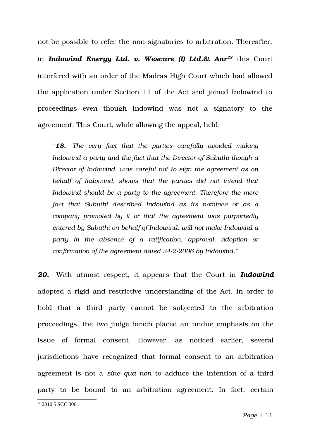not be possible to refer the non-signatories to arbitration. Thereafter, in *Indowind Energy Ltd. v. Wescare (I) Ltd.& Anr[22](#page-50-0)* this Court interfered with an order of the Madras High Court which had allowed the application under Section 11 of the Act and joined Indowind to proceedings even though Indowind was not a signatory to the agreement. This Court, while allowing the appeal, held:

*"18. The very fact that the parties carefully avoided making Indowind a party and the fact that the Director of Subuthi though a Director of Indowind, was careful not to sign the agreement as on behalf of Indowind, shows that the parties did not intend that Indowind should be a party to the agreement. Therefore the mere fact that Subuthi described Indowind as its nominee or as a company promoted by it or that the agreement was purportedly entered by Subuthi on behalf of Indowind, will not make Indowind a party in the absence of a ratification, approval, adoption or confirmation of the agreement dated 2422006 by Indowind*."

*20.* With utmost respect, it appears that the Court in *Indowind* adopted a rigid and restrictive understanding of the Act. In order to hold that a third party cannot be subjected to the arbitration proceedings, the two judge bench placed an undue emphasis on the issue of formal consent. However, as noticed earlier, several jurisdictions have recognized that formal consent to an arbitration agreement is not a *sine qua non* to adduce the intention of a third party to be bound to an arbitration agreement. In fact, certain

<span id="page-50-0"></span><sup>22</sup> 2010 5 SCC 306.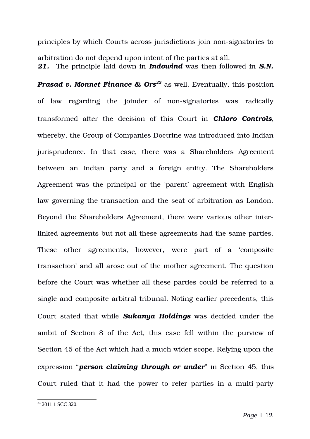principles by which Courts across jurisdictions join nonsignatories to arbitration do not depend upon intent of the parties at all. *21.* The principle laid down in *Indowind* was then followed in *S.N.*

*Prasad v. Monnet Finance & Ors<sup>[23](#page-51-0)</sup> as well. Eventually, this position* of law regarding the joinder of non-signatories was radically transformed after the decision of this Court in **Chloro Controls**, whereby, the Group of Companies Doctrine was introduced into Indian jurisprudence. In that case, there was a Shareholders Agreement between an Indian party and a foreign entity. The Shareholders Agreement was the principal or the 'parent' agreement with English law governing the transaction and the seat of arbitration as London. Beyond the Shareholders Agreement, there were various other interlinked agreements but not all these agreements had the same parties. These other agreements, however, were part of a 'composite transaction' and all arose out of the mother agreement. The question before the Court was whether all these parties could be referred to a single and composite arbitral tribunal. Noting earlier precedents, this Court stated that while *Sukanya Holdings* was decided under the ambit of Section 8 of the Act, this case fell within the purview of Section 45 of the Act which had a much wider scope. Relying upon the expression "*person claiming through or under*" in Section 45, this Court ruled that it had the power to refer parties in a multi-party

<span id="page-51-0"></span><sup>23</sup> 2011 1 SCC 320.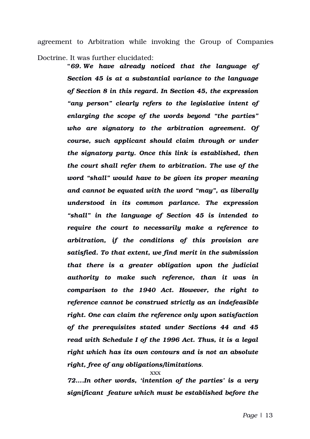agreement to Arbitration while invoking the Group of Companies Doctrine. It was further elucidated:

> **"***69. We have already noticed that the language of Section 45 is at a substantial variance to the language of Section 8 in this regard. In Section 45, the expression "any person" clearly refers to the legislative intent of enlarging the scope of the words beyond "the parties" who are signatory to the arbitration agreement. Of course, such applicant should claim through or under the signatory party. Once this link is established, then the court shall refer them to arbitration. The use of the word "shall" would have to be given its proper meaning and cannot be equated with the word "may", as liberally understood in its common parlance. The expression "shall" in the language of Section 45 is intended to require the court to necessarily make a reference to arbitration, if the conditions of this provision are satisfied. To that extent, we find merit in the submission that there is a greater obligation upon the judicial authority to make such reference, than it was in comparison to the 1940 Act. However, the right to reference cannot be construed strictly as an indefeasible right. One can claim the reference only upon satisfaction of the prerequisites stated under Sections 44 and 45 read with Schedule I of the 1996 Act. Thus, it is a legal right which has its own contours and is not an absolute right, free of any obligations/limitations.*

> > xxx

*72….In other words, 'intention of the parties' is a very significant feature which must be established before the*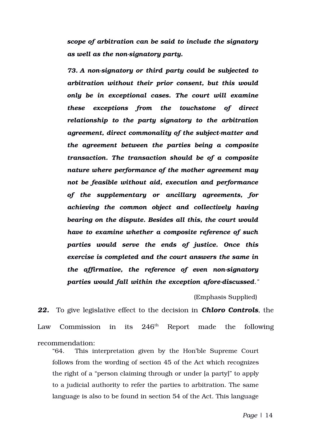*scope of arbitration can be said to include the signatory as well as the nonsignatory party.*

*73. A nonsignatory or third party could be subjected to arbitration without their prior consent, but this would only be in exceptional cases. The court will examine these exceptions from the touchstone of direct relationship to the party signatory to the arbitration agreement, direct commonality of the subjectmatter and the agreement between the parties being a composite transaction. The transaction should be of a composite nature where performance of the mother agreement may not be feasible without aid, execution and performance of the supplementary or ancillary agreements, for achieving the common object and collectively having bearing on the dispute. Besides all this, the court would have to examine whether a composite reference of such parties would serve the ends of justice. Once this exercise is completed and the court answers the same in the affirmative, the reference of even nonsignatory* parties would fall within the exception afore-discussed."

(Emphasis Supplied)

*22.* To give legislative effect to the decision in *Chloro Controls*, the Law Commission in its  $246<sup>th</sup>$  Report made the following recommendation:

"64. This interpretation given by the Hon'ble Supreme Court follows from the wording of section 45 of the Act which recognizes the right of a "person claiming through or under [a party]" to apply to a judicial authority to refer the parties to arbitration. The same language is also to be found in section 54 of the Act. This language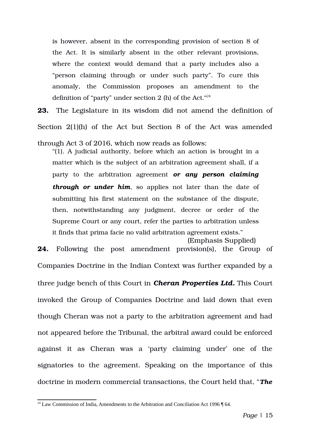is however, absent in the corresponding provision of section 8 of the Act. It is similarly absent in the other relevant provisions, where the context would demand that a party includes also a "person claiming through or under such party". To cure this anomaly, the Commission proposes an amendment to the definition of "party" under section 2 (h) of the Act."<sup>[24](#page-54-0)</sup>

**23.** The Legislature in its wisdom did not amend the definition of Section  $2(1)(h)$  of the Act but Section 8 of the Act was amended

through Act 3 of 2016, which now reads as follows:

"(1). A judicial authority, before which an action is brought in a matter which is the subject of an arbitration agreement shall, if a party to the arbitration agreement *or any person claiming through or under him*, so applies not later than the date of submitting his first statement on the substance of the dispute, then, notwithstanding any judgment, decree or order of the Supreme Court or any court, refer the parties to arbitration unless it finds that prima facie no valid arbitration agreement exists."

(Emphasis Supplied) **24.** Following the post amendment provision(s), the Group of Companies Doctrine in the Indian Context was further expanded by a three judge bench of this Court in *Cheran Properties Ltd.* This Court invoked the Group of Companies Doctrine and laid down that even though Cheran was not a party to the arbitration agreement and had not appeared before the Tribunal, the arbitral award could be enforced against it as Cheran was a 'party claiming under' one of the signatories to the agreement. Speaking on the importance of this doctrine in modern commercial transactions, the Court held that, "*The*

<span id="page-54-0"></span><sup>&</sup>lt;sup>24</sup> Law Commission of India, Amendments to the Arbitration and Conciliation Act 1996 ¶ 64.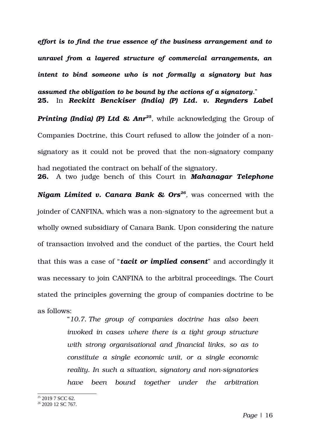*effort is to find the true essence of the business arrangement and to unravel from a layered structure of commercial arrangements, an intent to bind someone who is not formally a signatory but has assumed the obligation to be bound by the actions of a signatory.*" **25.** In *Reckitt Benckiser (India) (P) Ltd. v. Reynders Label* **Printing (India) (P) Ltd & Anr<sup>[25](#page-55-0)</sup>**, while acknowledging the Group of Companies Doctrine, this Court refused to allow the joinder of a nonsignatory as it could not be proved that the non-signatory company had negotiated the contract on behalf of the signatory. **26.** A two judge bench of this Court in *Mahanagar Telephone*

*Nigam Limited v. Canara Bank & Ors[26](#page-55-1) ,* was concerned with the joinder of CANFINA, which was a non-signatory to the agreement but a wholly owned subsidiary of Canara Bank. Upon considering the nature of transaction involved and the conduct of the parties, the Court held that this was a case of "*tacit or implied consent*" and accordingly it was necessary to join CANFINA to the arbitral proceedings. The Court stated the principles governing the group of companies doctrine to be as follows:

> "*10.7. The group of companies doctrine has also been invoked in cases where there is a tight group structure with strong organisational and financial links, so as to constitute a single economic unit, or a single economic reality. In such a situation, signatory and non-signatories have been bound together under the arbitration*

<span id="page-55-0"></span><sup>&</sup>lt;sup>25</sup> 2019 7 SCC 62.

<span id="page-55-1"></span><sup>&</sup>lt;sup>26</sup> 2020 12 SC 767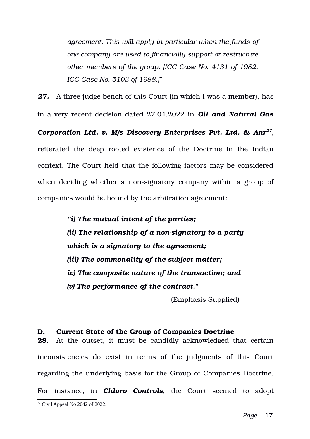*agreement. This will apply in particular when the funds of one company are used to financially support or restructure other members of the group. [ICC Case No. 4131 of 1982, ICC Case No. 5103 of 1988.]*"

*27.* A three judge bench of this Court (in which I was a member), has in a very recent decision dated 27.04.2022 in *Oil and Natural Gas Corporation Ltd. v. M/s Discovery Enterprises Pvt. Ltd. & Anr[27](#page-56-0)* , reiterated the deep rooted existence of the Doctrine in the Indian context. The Court held that the following factors may be considered when deciding whether a non-signatory company within a group of companies would be bound by the arbitration agreement:

> *"i) The mutual intent of the parties; (ii) The relationship of a nonsignatory to a party which is a signatory to the agreement; (iii) The commonality of the subject matter; iv) The composite nature of the transaction; and (v) The performance of the contract***."** (Emphasis Supplied)

#### **D. Current State of the Group of Companies Doctrine**

<span id="page-56-0"></span>**28.** At the outset, it must be candidly acknowledged that certain inconsistencies do exist in terms of the judgments of this Court regarding the underlying basis for the Group of Companies Doctrine. For instance, in Chloro Controls, the Court seemed to adopt  $27$  Civil Appeal No 2042 of 2022.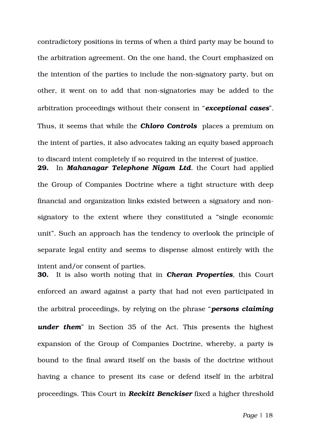contradictory positions in terms of when a third party may be bound to the arbitration agreement. On the one hand, the Court emphasized on the intention of the parties to include the non-signatory party, but on other, it went on to add that non-signatories may be added to the arbitration proceedings without their consent in "*exceptional cases*". Thus, it seems that while the **Chloro Controls** places a premium on the intent of parties, it also advocates taking an equity based approach to discard intent completely if so required in the interest of justice. **29.** In *Mahanagar Telephone Nigam Ltd.* the Court had applied

the Group of Companies Doctrine where a tight structure with deep financial and organization links existed between a signatory and nonsignatory to the extent where they constituted a "single economic unit". Such an approach has the tendency to overlook the principle of separate legal entity and seems to dispense almost entirely with the intent and/or consent of parties.

**30.** It is also worth noting that in *Cheran Properties*, this Court enforced an award against a party that had not even participated in the arbitral proceedings, by relying on the phrase "*persons claiming* **under them**" in Section 35 of the Act. This presents the highest expansion of the Group of Companies Doctrine, whereby, a party is bound to the final award itself on the basis of the doctrine without having a chance to present its case or defend itself in the arbitral proceedings. This Court in *Reckitt Benckiser* fixed a higher threshold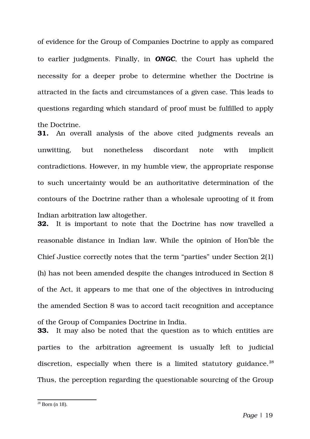of evidence for the Group of Companies Doctrine to apply as compared to earlier judgments. Finally, in *ONGC*, the Court has upheld the necessity for a deeper probe to determine whether the Doctrine is attracted in the facts and circumstances of a given case. This leads to questions regarding which standard of proof must be fulfilled to apply the Doctrine.

**31.** An overall analysis of the above cited judgments reveals an unwitting, but nonetheless discordant note with implicit contradictions. However, in my humble view, the appropriate response to such uncertainty would be an authoritative determination of the contours of the Doctrine rather than a wholesale uprooting of it from Indian arbitration law altogether.

**32.** It is important to note that the Doctrine has now travelled a reasonable distance in Indian law. While the opinion of Hon'ble the Chief Justice correctly notes that the term "parties" under Section 2(1) (h) has not been amended despite the changes introduced in Section 8 of the Act, it appears to me that one of the objectives in introducing the amended Section 8 was to accord tacit recognition and acceptance of the Group of Companies Doctrine in India.

**33.** It may also be noted that the question as to which entities are parties to the arbitration agreement is usually left to judicial discretion, especially when there is a limited statutory guidance.<sup>[28](#page-58-0)</sup> Thus, the perception regarding the questionable sourcing of the Group

<span id="page-58-0"></span> $28$  Born (n 18).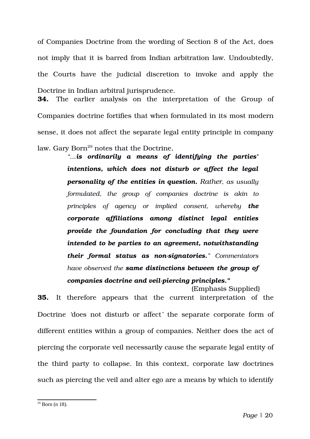of Companies Doctrine from the wording of Section 8 of the Act, does not imply that it is barred from Indian arbitration law. Undoubtedly, the Courts have the judicial discretion to invoke and apply the Doctrine in Indian arbitral jurisprudence.

**34.** The earlier analysis on the interpretation of the Group of Companies doctrine fortifies that when formulated in its most modern sense, it does not affect the separate legal entity principle in company law. Gary Born<sup>[29](#page-59-0)</sup> notes that the Doctrine,

> *"…is ordinarily a means of identifying the parties' intentions, which does not disturb or affect the legal personality of the entities in question. Rather, as usually formulated, the group of companies doctrine is akin to principles of agency or implied consent, whereby the corporate affiliations among distinct legal entities provide the foundation for concluding that they were intended to be parties to an agreement, notwithstanding their formal status as nonsignatories." Commentators have observed the same distinctions between the group of companies doctrine and veil-piercing principles."*

(Emphasis Supplied) **35.** It therefore appears that the current interpretation of the Doctrine *'*does not disturb or affect*'* the separate corporate form of different entities within a group of companies. Neither does the act of piercing the corporate veil necessarily cause the separate legal entity of the third party to collapse. In this context, corporate law doctrines such as piercing the veil and alter ego are a means by which to identify

<span id="page-59-0"></span> $29$  Born (n 18).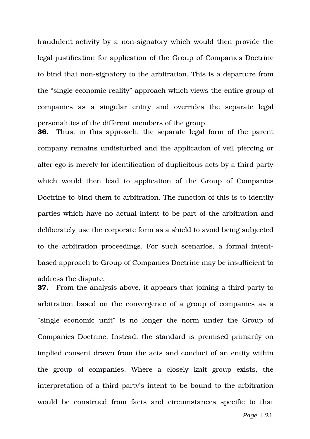fraudulent activity by a non-signatory which would then provide the legal justification for application of the Group of Companies Doctrine to bind that non-signatory to the arbitration. This is a departure from the "single economic reality" approach which views the entire group of companies as a singular entity and overrides the separate legal personalities of the different members of the group.

**36.** Thus, in this approach, the separate legal form of the parent company remains undisturbed and the application of veil piercing or alter ego is merely for identification of duplicitous acts by a third party which would then lead to application of the Group of Companies Doctrine to bind them to arbitration. The function of this is to identify parties which have no actual intent to be part of the arbitration and deliberately use the corporate form as a shield to avoid being subjected to the arbitration proceedings. For such scenarios, a formal intentbased approach to Group of Companies Doctrine may be insufficient to address the dispute.

**37.** From the analysis above, it appears that joining a third party to arbitration based on the convergence of a group of companies as a "single economic unit" is no longer the norm under the Group of Companies Doctrine. Instead, the standard is premised primarily on implied consent drawn from the acts and conduct of an entity within the group of companies. Where a closely knit group exists, the interpretation of a third party's intent to be bound to the arbitration would be construed from facts and circumstances specific to that

*Page* | 21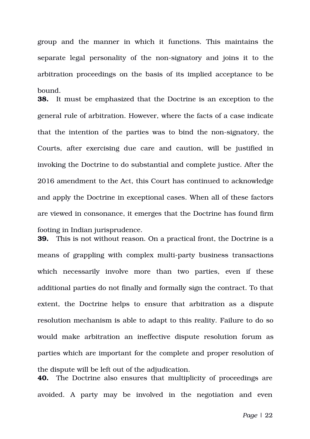group and the manner in which it functions. This maintains the separate legal personality of the non-signatory and joins it to the arbitration proceedings on the basis of its implied acceptance to be bound.

**38.** It must be emphasized that the Doctrine is an exception to the general rule of arbitration. However, where the facts of a case indicate that the intention of the parties was to bind the nonsignatory, the Courts, after exercising due care and caution, will be justified in invoking the Doctrine to do substantial and complete justice. After the 2016 amendment to the Act, this Court has continued to acknowledge and apply the Doctrine in exceptional cases. When all of these factors are viewed in consonance, it emerges that the Doctrine has found firm footing in Indian jurisprudence.

**39.** This is not without reason. On a practical front, the Doctrine is a means of grappling with complex multiparty business transactions which necessarily involve more than two parties, even if these additional parties do not finally and formally sign the contract. To that extent, the Doctrine helps to ensure that arbitration as a dispute resolution mechanism is able to adapt to this reality. Failure to do so would make arbitration an ineffective dispute resolution forum as parties which are important for the complete and proper resolution of the dispute will be left out of the adjudication. **40.** The Doctrine also ensures that multiplicity of proceedings are

avoided. A party may be involved in the negotiation and even

*Page* | 22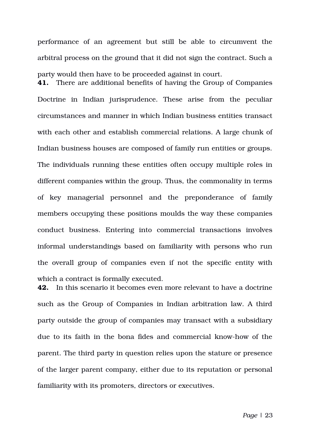performance of an agreement but still be able to circumvent the arbitral process on the ground that it did not sign the contract. Such a party would then have to be proceeded against in court.

**41.** There are additional benefits of having the Group of Companies Doctrine in Indian jurisprudence. These arise from the peculiar circumstances and manner in which Indian business entities transact with each other and establish commercial relations. A large chunk of Indian business houses are composed of family run entities or groups. The individuals running these entities often occupy multiple roles in different companies within the group. Thus, the commonality in terms of key managerial personnel and the preponderance of family members occupying these positions moulds the way these companies conduct business. Entering into commercial transactions involves informal understandings based on familiarity with persons who run the overall group of companies even if not the specific entity with which a contract is formally executed.

**42.** In this scenario it becomes even more relevant to have a doctrine such as the Group of Companies in Indian arbitration law. A third party outside the group of companies may transact with a subsidiary due to its faith in the bona fides and commercial knowhow of the parent. The third party in question relies upon the stature or presence of the larger parent company, either due to its reputation or personal familiarity with its promoters, directors or executives.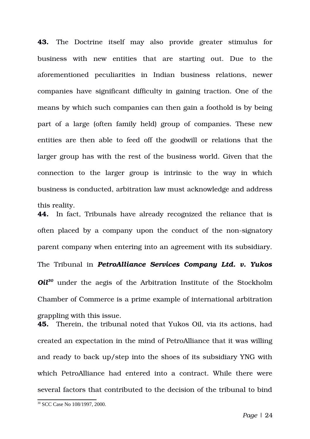**43.** The Doctrine itself may also provide greater stimulus for business with new entities that are starting out. Due to the aforementioned peculiarities in Indian business relations, newer companies have significant difficulty in gaining traction. One of the means by which such companies can then gain a foothold is by being part of a large (often family held) group of companies. These new entities are then able to feed off the goodwill or relations that the larger group has with the rest of the business world. Given that the connection to the larger group is intrinsic to the way in which business is conducted, arbitration law must acknowledge and address this reality.

**44.** In fact, Tribunals have already recognized the reliance that is often placed by a company upon the conduct of the non-signatory parent company when entering into an agreement with its subsidiary. The Tribunal in *PetroAlliance Services Company Ltd. v. Yukos Oil[30](#page-63-0)* under the aegis of the Arbitration Institute of the Stockholm Chamber of Commerce is a prime example of international arbitration grappling with this issue.

**45.** Therein, the tribunal noted that Yukos Oil, via its actions, had created an expectation in the mind of PetroAlliance that it was willing and ready to back up/step into the shoes of its subsidiary YNG with which PetroAlliance had entered into a contract. While there were several factors that contributed to the decision of the tribunal to bind

<span id="page-63-0"></span><sup>30</sup> SCC Case No 108/1997, 2000.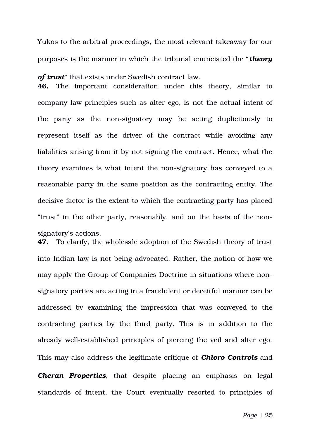Yukos to the arbitral proceedings, the most relevant takeaway for our purposes is the manner in which the tribunal enunciated the "*theory*

*of trust*" that exists under Swedish contract law. **46.** The important consideration under this theory, similar to company law principles such as alter ego, is not the actual intent of the party as the non-signatory may be acting duplicitously to represent itself as the driver of the contract while avoiding any liabilities arising from it by not signing the contract. Hence, what the theory examines is what intent the non-signatory has conveyed to a reasonable party in the same position as the contracting entity. The decisive factor is the extent to which the contracting party has placed "trust" in the other party, reasonably, and on the basis of the nonsignatory's actions.

**47.** To clarify, the wholesale adoption of the Swedish theory of trust into Indian law is not being advocated. Rather, the notion of how we may apply the Group of Companies Doctrine in situations where nonsignatory parties are acting in a fraudulent or deceitful manner can be addressed by examining the impression that was conveyed to the contracting parties by the third party. This is in addition to the already well-established principles of piercing the veil and alter ego. This may also address the legitimate critique of *Chloro Controls* and **Cheran Properties**, that despite placing an emphasis on legal standards of intent, the Court eventually resorted to principles of